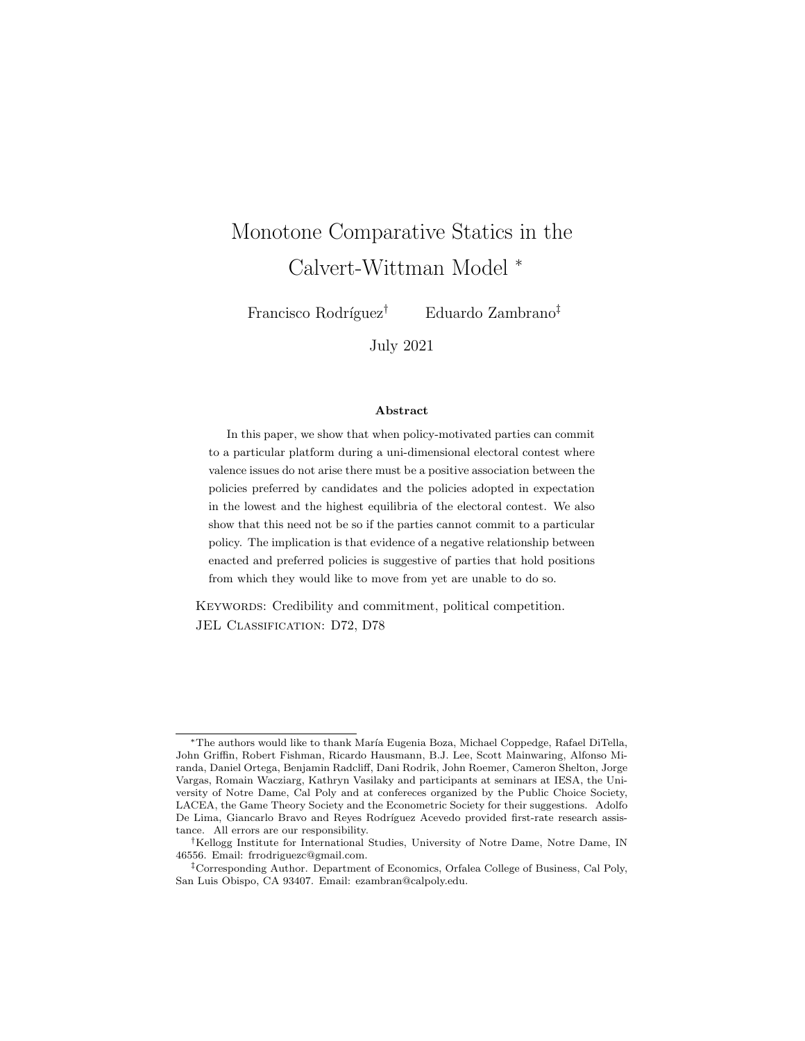# Monotone Comparative Statics in the Calvert-Wittman Model <sup>∗</sup>

Francisco Rodríguez<sup>†</sup> Eduardo Zambrano<sup>‡</sup>

July 2021

#### Abstract

In this paper, we show that when policy-motivated parties can commit to a particular platform during a uni-dimensional electoral contest where valence issues do not arise there must be a positive association between the policies preferred by candidates and the policies adopted in expectation in the lowest and the highest equilibria of the electoral contest. We also show that this need not be so if the parties cannot commit to a particular policy. The implication is that evidence of a negative relationship between enacted and preferred policies is suggestive of parties that hold positions from which they would like to move from yet are unable to do so.

KEYWORDS: Credibility and commitment, political competition. JEL CLASSIFICATION: D72, D78

<sup>\*</sup>The authors would like to thank María Eugenia Boza, Michael Coppedge, Rafael DiTella, John Griffin, Robert Fishman, Ricardo Hausmann, B.J. Lee, Scott Mainwaring, Alfonso Miranda, Daniel Ortega, Benjamin Radcliff, Dani Rodrik, John Roemer, Cameron Shelton, Jorge Vargas, Romain Wacziarg, Kathryn Vasilaky and participants at seminars at IESA, the University of Notre Dame, Cal Poly and at confereces organized by the Public Choice Society, LACEA, the Game Theory Society and the Econometric Society for their suggestions. Adolfo De Lima, Giancarlo Bravo and Reyes Rodríguez Acevedo provided first-rate research assistance. All errors are our responsibility.

<sup>†</sup>Kellogg Institute for International Studies, University of Notre Dame, Notre Dame, IN 46556. Email: frrodriguezc@gmail.com.

<sup>‡</sup>Corresponding Author. Department of Economics, Orfalea College of Business, Cal Poly, San Luis Obispo, CA 93407. Email: ezambran@calpoly.edu.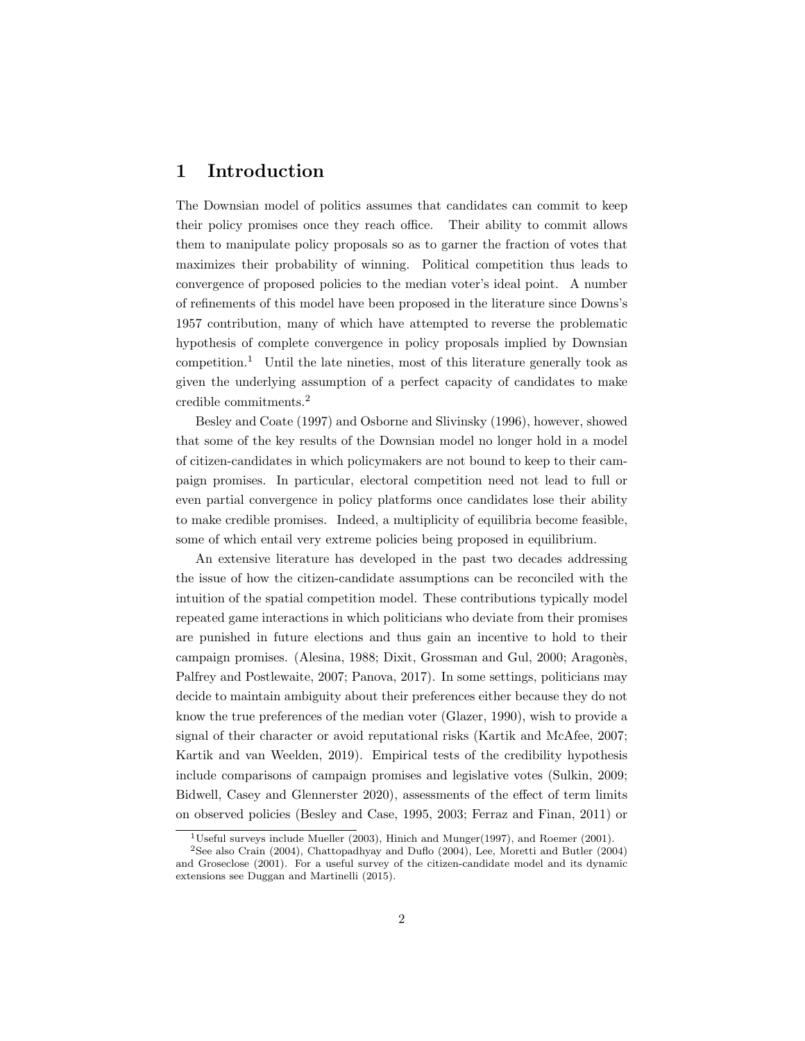# 1 Introduction

The Downsian model of politics assumes that candidates can commit to keep their policy promises once they reach office. Their ability to commit allows them to manipulate policy proposals so as to garner the fraction of votes that maximizes their probability of winning. Political competition thus leads to convergence of proposed policies to the median voter's ideal point. A number of refinements of this model have been proposed in the literature since Downs's 1957 contribution, many of which have attempted to reverse the problematic hypothesis of complete convergence in policy proposals implied by Downsian competition.<sup>1</sup> Until the late nineties, most of this literature generally took as given the underlying assumption of a perfect capacity of candidates to make credible commitments.<sup>2</sup>

Besley and Coate (1997) and Osborne and Slivinsky (1996), however, showed that some of the key results of the Downsian model no longer hold in a model of citizen-candidates in which policymakers are not bound to keep to their campaign promises. In particular, electoral competition need not lead to full or even partial convergence in policy platforms once candidates lose their ability to make credible promises. Indeed, a multiplicity of equilibria become feasible, some of which entail very extreme policies being proposed in equilibrium.

An extensive literature has developed in the past two decades addressing the issue of how the citizen-candidate assumptions can be reconciled with the intuition of the spatial competition model. These contributions typically model repeated game interactions in which politicians who deviate from their promises are punished in future elections and thus gain an incentive to hold to their campaign promises. (Alesina, 1988; Dixit, Grossman and Gul, 2000; Aragonès, Palfrey and Postlewaite, 2007; Panova, 2017). In some settings, politicians may decide to maintain ambiguity about their preferences either because they do not know the true preferences of the median voter (Glazer, 1990), wish to provide a signal of their character or avoid reputational risks (Kartik and McAfee, 2007; Kartik and van Weelden, 2019). Empirical tests of the credibility hypothesis include comparisons of campaign promises and legislative votes (Sulkin, 2009; Bidwell, Casey and Glennerster 2020), assessments of the effect of term limits on observed policies (Besley and Case, 1995, 2003; Ferraz and Finan, 2011) or

 $\overline{1}$ Useful surveys include Mueller (2003), Hinich and Munger(1997), and Roemer (2001).

<sup>2</sup>See also Crain (2004), Chattopadhyay and Duflo (2004), Lee, Moretti and Butler (2004) and Groseclose (2001). For a useful survey of the citizen-candidate model and its dynamic extensions see Duggan and Martinelli (2015).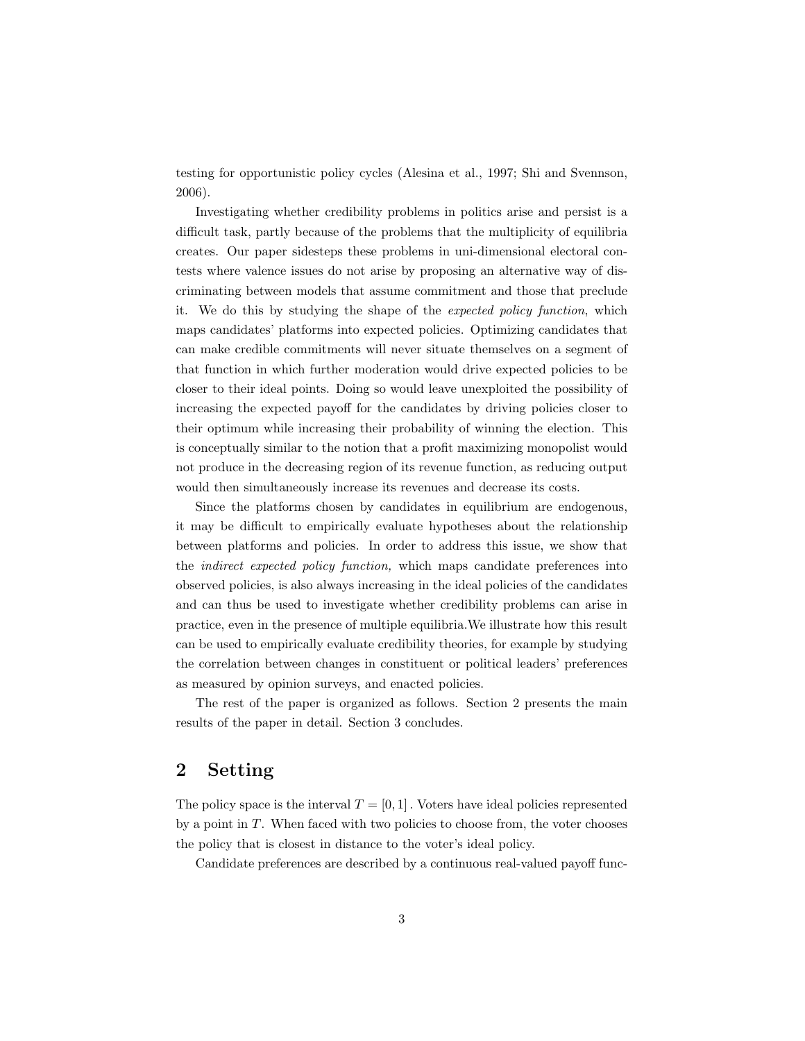testing for opportunistic policy cycles (Alesina et al., 1997; Shi and Svennson, 2006).

Investigating whether credibility problems in politics arise and persist is a difficult task, partly because of the problems that the multiplicity of equilibria creates. Our paper sidesteps these problems in uni-dimensional electoral contests where valence issues do not arise by proposing an alternative way of discriminating between models that assume commitment and those that preclude it. We do this by studying the shape of the expected policy function, which maps candidates' platforms into expected policies. Optimizing candidates that can make credible commitments will never situate themselves on a segment of that function in which further moderation would drive expected policies to be closer to their ideal points. Doing so would leave unexploited the possibility of increasing the expected payoff for the candidates by driving policies closer to their optimum while increasing their probability of winning the election. This is conceptually similar to the notion that a profit maximizing monopolist would not produce in the decreasing region of its revenue function, as reducing output would then simultaneously increase its revenues and decrease its costs.

Since the platforms chosen by candidates in equilibrium are endogenous, it may be difficult to empirically evaluate hypotheses about the relationship between platforms and policies. In order to address this issue, we show that the indirect expected policy function, which maps candidate preferences into observed policies, is also always increasing in the ideal policies of the candidates and can thus be used to investigate whether credibility problems can arise in practice, even in the presence of multiple equilibria.We illustrate how this result can be used to empirically evaluate credibility theories, for example by studying the correlation between changes in constituent or political leaders' preferences as measured by opinion surveys, and enacted policies.

The rest of the paper is organized as follows. Section 2 presents the main results of the paper in detail. Section 3 concludes.

# 2 Setting

The policy space is the interval  $T = [0, 1]$ . Voters have ideal policies represented by a point in  $T$ . When faced with two policies to choose from, the voter chooses the policy that is closest in distance to the voter's ideal policy.

Candidate preferences are described by a continuous real-valued payoff func-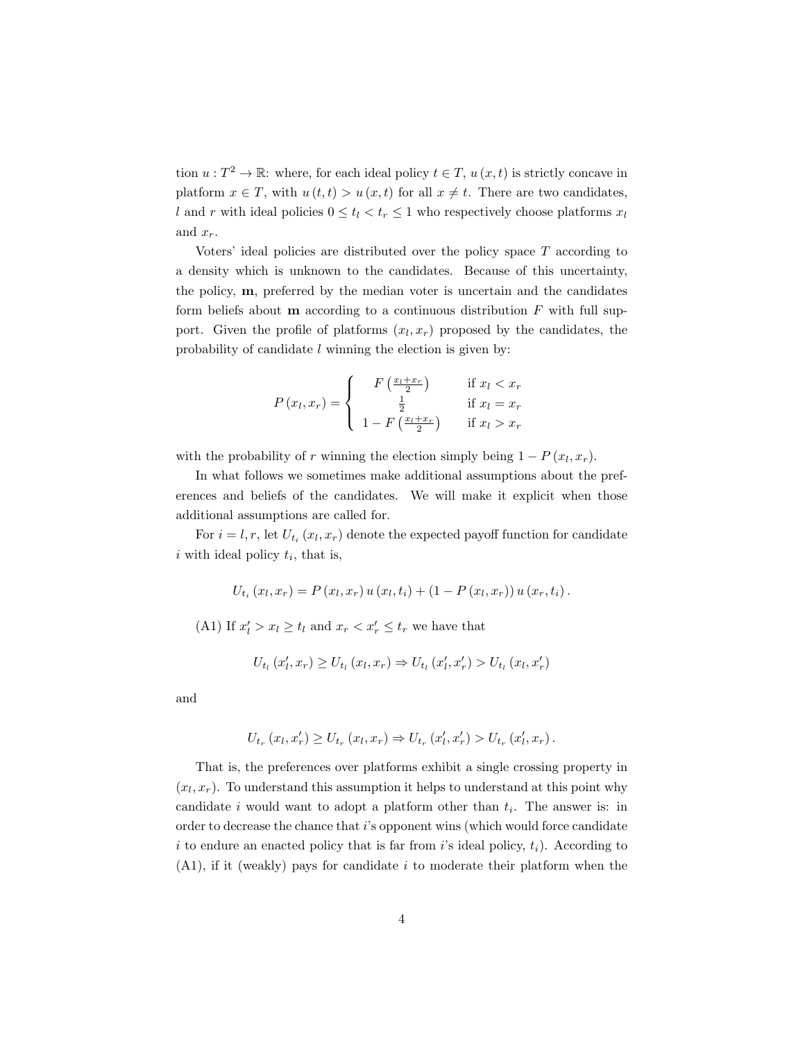tion  $u: T^2 \to \mathbb{R}$ : where, for each ideal policy  $t \in T$ ,  $u(x, t)$  is strictly concave in platform  $x \in T$ , with  $u(t, t) > u(x, t)$  for all  $x \neq t$ . There are two candidates, l and r with ideal policies  $0 \le t_l < t_r \le 1$  who respectively choose platforms  $x_l$ and  $x_r$ .

Voters' ideal policies are distributed over the policy space  $T$  according to a density which is unknown to the candidates. Because of this uncertainty, the policy, m, preferred by the median voter is uncertain and the candidates form beliefs about  **according to a continuous distribution**  $F$  **with full sup**port. Given the profile of platforms  $(x_l, x_r)$  proposed by the candidates, the probability of candidate l winning the election is given by:

$$
P(x_l, x_r) = \begin{cases} F\left(\frac{x_l + x_r}{2}\right) & \text{if } x_l < x_r\\ \frac{1}{2} & \text{if } x_l = x_r\\ 1 - F\left(\frac{x_l + x_r}{2}\right) & \text{if } x_l > x_r \end{cases}
$$

with the probability of r winning the election simply being  $1 - P(x_l, x_r)$ .

In what follows we sometimes make additional assumptions about the preferences and beliefs of the candidates. We will make it explicit when those additional assumptions are called for.

For  $i = l, r$ , let  $U_{t_i}(x_l, x_r)$  denote the expected payoff function for candidate  $i$  with ideal policy  $t_i$ , that is,

$$
U_{t_i}(x_l, x_r) = P(x_l, x_r) u(x_l, t_i) + (1 - P(x_l, x_r)) u(x_r, t_i).
$$

(A1) If  $x'_l > x_l \ge t_l$  and  $x_r < x'_r \le t_r$  we have that

$$
U_{t_l}(x'_l, x_r) \ge U_{t_l}(x_l, x_r) \Rightarrow U_{t_l}(x'_l, x'_r) > U_{t_l}(x_l, x'_r)
$$

and

$$
U_{t_r}(x_l, x'_r) \ge U_{t_r}(x_l, x_r) \Rightarrow U_{t_r}(x'_l, x'_r) > U_{t_r}(x'_l, x_r).
$$

That is, the preferences over platforms exhibit a single crossing property in  $(x_l, x_r)$ . To understand this assumption it helps to understand at this point why candidate i would want to adopt a platform other than  $t_i$ . The answer is: in order to decrease the chance that i's opponent wins (which would force candidate i to endure an enacted policy that is far from i's ideal policy,  $t_i$ ). According to  $(A1)$ , if it (weakly) pays for candidate i to moderate their platform when the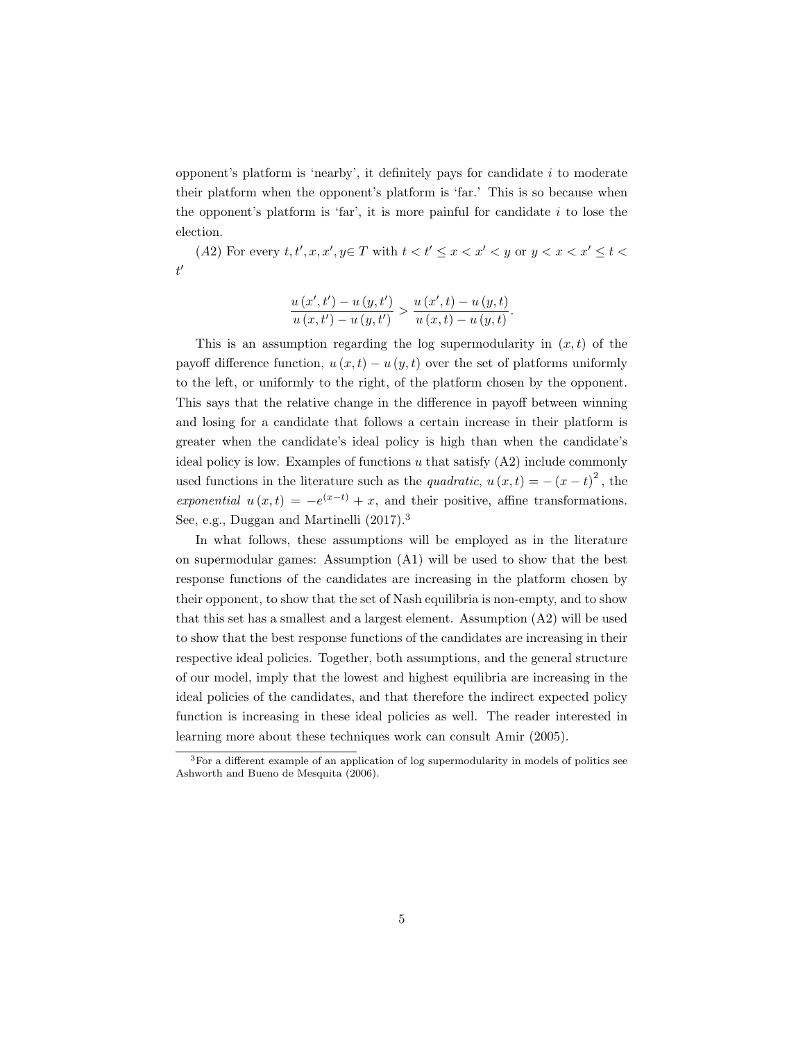opponent's platform is 'nearby', it definitely pays for candidate i to moderate their platform when the opponent's platform is 'far.' This is so because when the opponent's platform is 'far', it is more painful for candidate  $i$  to lose the election.

(A2) For every  $t, t', x, x', y \in T$  with  $t < t' \leq x < x' < y$  or  $y < x < x' \leq t <$  $t'$ 

$$
\frac{u(x',t') - u(y,t')}{u(x,t') - u(y,t')} > \frac{u(x',t) - u(y,t)}{u(x,t) - u(y,t)}
$$

.

This is an assumption regarding the log supermodularity in  $(x, t)$  of the payoff difference function,  $u(x, t) - u(y, t)$  over the set of platforms uniformly to the left, or uniformly to the right, of the platform chosen by the opponent. This says that the relative change in the difference in payoff between winning and losing for a candidate that follows a certain increase in their platform is greater when the candidate's ideal policy is high than when the candidate's ideal policy is low. Examples of functions  $u$  that satisfy  $(A2)$  include commonly used functions in the literature such as the *quadratic*,  $u(x,t) = -(x-t)^2$ , the exponential  $u(x,t) = -e^{(x-t)} + x$ , and their positive, affine transformations. See, e.g., Duggan and Martinelli (2017).<sup>3</sup>

In what follows, these assumptions will be employed as in the literature on supermodular games: Assumption (A1) will be used to show that the best response functions of the candidates are increasing in the platform chosen by their opponent, to show that the set of Nash equilibria is non-empty, and to show that this set has a smallest and a largest element. Assumption (A2) will be used to show that the best response functions of the candidates are increasing in their respective ideal policies. Together, both assumptions, and the general structure of our model, imply that the lowest and highest equilibria are increasing in the ideal policies of the candidates, and that therefore the indirect expected policy function is increasing in these ideal policies as well. The reader interested in learning more about these techniques work can consult Amir (2005).

<sup>3</sup>For a different example of an application of log supermodularity in models of politics see Ashworth and Bueno de Mesquita (2006).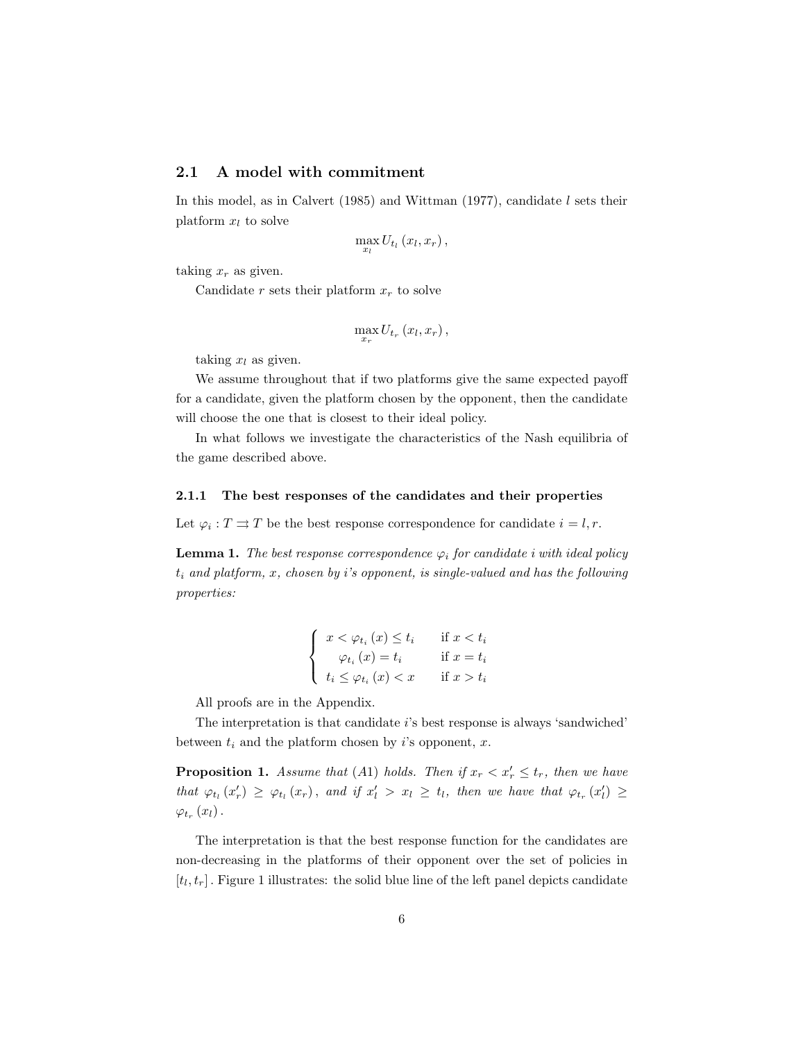### 2.1 A model with commitment

In this model, as in Calvert (1985) and Wittman (1977), candidate  $l$  sets their platform  $x_l$  to solve

$$
\max_{x_l} U_{t_l}(x_l, x_r),
$$

taking  $x_r$  as given.

Candidate r sets their platform  $x_r$  to solve

$$
\max_{x_r} U_{t_r}\left(x_l,x_r\right),\,
$$

taking  $x_l$  as given.

We assume throughout that if two platforms give the same expected payoff for a candidate, given the platform chosen by the opponent, then the candidate will choose the one that is closest to their ideal policy.

In what follows we investigate the characteristics of the Nash equilibria of the game described above.

### 2.1.1 The best responses of the candidates and their properties

Let  $\varphi_i : T \rightrightarrows T$  be the best response correspondence for candidate  $i = l, r$ .

**Lemma 1.** The best response correspondence  $\varphi_i$  for candidate i with ideal policy  $t_i$  and platform, x, chosen by i's opponent, is single-valued and has the following properties:

$$
\begin{cases}\nx < \varphi_{t_i}(x) \le t_i & \text{if } x < t_i \\
\varphi_{t_i}(x) = t_i & \text{if } x = t_i \\
t_i \le \varphi_{t_i}(x) < x & \text{if } x > t_i\n\end{cases}
$$

All proofs are in the Appendix.

The interpretation is that candidate i's best response is always 'sandwiched' between  $t_i$  and the platform chosen by i's opponent, x.

**Proposition 1.** Assume that (A1) holds. Then if  $x_r < x'_r \le t_r$ , then we have that  $\varphi_{t_l}(x'_r) \geq \varphi_{t_l}(x_r)$ , and if  $x'_l > x_l \geq t_l$ , then we have that  $\varphi_{t_r}(x'_l) \geq$  $\varphi_{t_r}\left(x_{l}\right)$  .

The interpretation is that the best response function for the candidates are non-decreasing in the platforms of their opponent over the set of policies in  $[t_l, t_r]$ . Figure 1 illustrates: the solid blue line of the left panel depicts candidate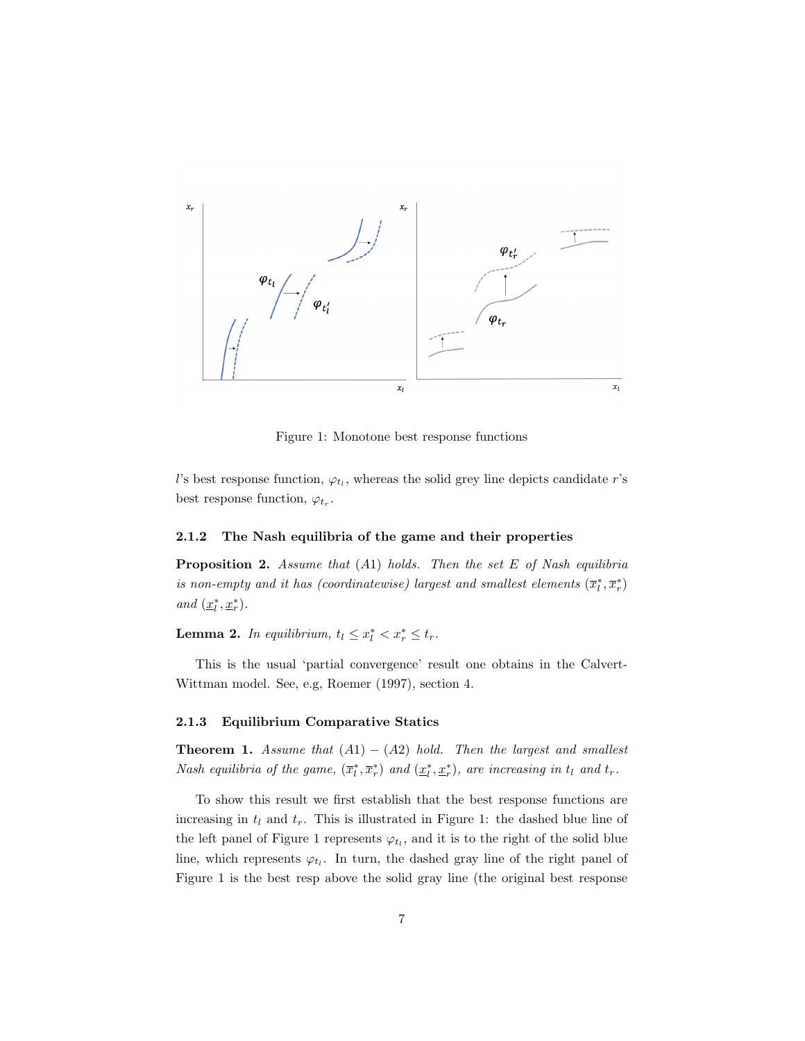

Figure 1: Monotone best response functions

l's best response function,  $\varphi_{t_l}$ , whereas the solid grey line depicts candidate r's best response function,  $\varphi_{t_r}$ .

#### 2.1.2 The Nash equilibria of the game and their properties

**Proposition 2.** Assume that  $(A1)$  holds. Then the set E of Nash equilibria is non-empty and it has (coordinatewise) largest and smallest elements  $(\overline{x}_l^*, \overline{x}_r^*)$ and  $(\underline{x}_l^*, \underline{x}_r^*)$ .

**Lemma 2.** In equilibrium,  $t_l \leq x_l^* < x_r^* \leq t_r$ .

This is the usual 'partial convergence' result one obtains in the Calvert-Wittman model. See, e.g, Roemer (1997), section 4.

#### 2.1.3 Equilibrium Comparative Statics

**Theorem 1.** Assume that  $(A1) - (A2)$  hold. Then the largest and smallest Nash equilibria of the game,  $(\overline{x}_l^*, \overline{x}_r^*)$  and  $(\underline{x}_l^*, \underline{x}_r^*)$ , are increasing in  $t_l$  and  $t_r$ .

To show this result we first establish that the best response functions are increasing in  $t_l$  and  $t_r$ . This is illustrated in Figure 1: the dashed blue line of the left panel of Figure 1 represents  $\varphi_{t_l}$ , and it is to the right of the solid blue line, which represents  $\varphi_{t_l}$ . In turn, the dashed gray line of the right panel of Figure 1 is the best resp above the solid gray line (the original best response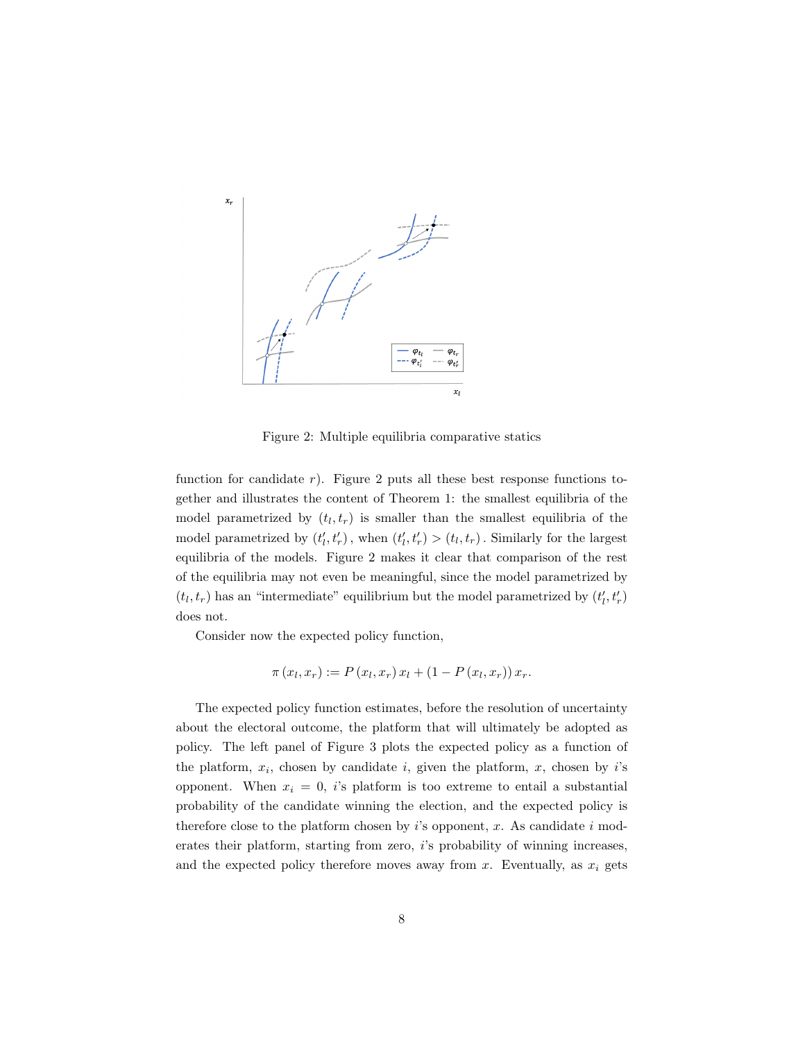

Figure 2: Multiple equilibria comparative statics

function for candidate  $r$ ). Figure 2 puts all these best response functions together and illustrates the content of Theorem 1: the smallest equilibria of the model parametrized by  $(t_l, t_r)$  is smaller than the smallest equilibria of the model parametrized by  $(t'_{l}, t'_{r})$ , when  $(t'_{l}, t'_{r}) > (t_{l}, t_{r})$ . Similarly for the largest equilibria of the models. Figure 2 makes it clear that comparison of the rest of the equilibria may not even be meaningful, since the model parametrized by  $\left(t_l,t_r\right)$  has an "intermediate" equilibrium but the model parametrized by  $\left(t_l',t_r'\right)$ does not.

Consider now the expected policy function,

$$
\pi(x_l, x_r) := P(x_l, x_r) x_l + (1 - P(x_l, x_r)) x_r.
$$

The expected policy function estimates, before the resolution of uncertainty about the electoral outcome, the platform that will ultimately be adopted as policy. The left panel of Figure 3 plots the expected policy as a function of the platform,  $x_i$ , chosen by candidate i, given the platform, x, chosen by i's opponent. When  $x_i = 0$ , i's platform is too extreme to entail a substantial probability of the candidate winning the election, and the expected policy is therefore close to the platform chosen by  $i$ 's opponent, x. As candidate  $i$  moderates their platform, starting from zero, i's probability of winning increases, and the expected policy therefore moves away from x. Eventually, as  $x_i$  gets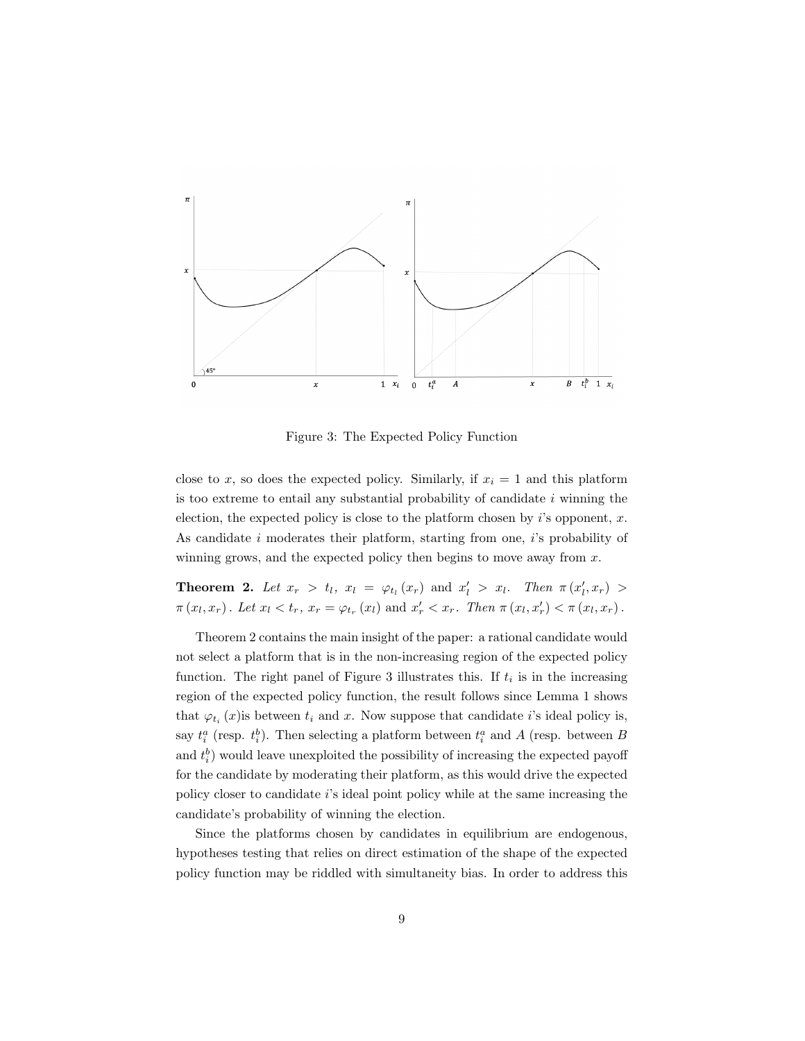

Figure 3: The Expected Policy Function

close to x, so does the expected policy. Similarly, if  $x_i = 1$  and this platform is too extreme to entail any substantial probability of candidate  $i$  winning the election, the expected policy is close to the platform chosen by  $i$ 's opponent, x. As candidate i moderates their platform, starting from one, i's probability of winning grows, and the expected policy then begins to move away from  $x$ .

**Theorem 2.** Let  $x_r > t_l$ ,  $x_l = \varphi_{t_l}(x_r)$  and  $x'_l > x_l$ . Then  $\pi(x'_l, x_r) >$  $\pi(x_l, x_r)$ . Let  $x_l < t_r$ ,  $x_r = \varphi_{t_r}(x_l)$  and  $x'_r < x_r$ . Then  $\pi(x_l, x'_r) < \pi(x_l, x_r)$ .

Theorem 2 contains the main insight of the paper: a rational candidate would not select a platform that is in the non-increasing region of the expected policy function. The right panel of Figure 3 illustrates this. If  $t_i$  is in the increasing region of the expected policy function, the result follows since Lemma 1 shows that  $\varphi_{t_i}(x)$  is between  $t_i$  and  $x$ . Now suppose that candidate i's ideal policy is, say  $t_i^a$  (resp.  $t_i^b$ ). Then selecting a platform between  $t_i^a$  and A (resp. between B and  $t_i^b$ ) would leave unexploited the possibility of increasing the expected payoff for the candidate by moderating their platform, as this would drive the expected policy closer to candidate i's ideal point policy while at the same increasing the candidate's probability of winning the election.

Since the platforms chosen by candidates in equilibrium are endogenous, hypotheses testing that relies on direct estimation of the shape of the expected policy function may be riddled with simultaneity bias. In order to address this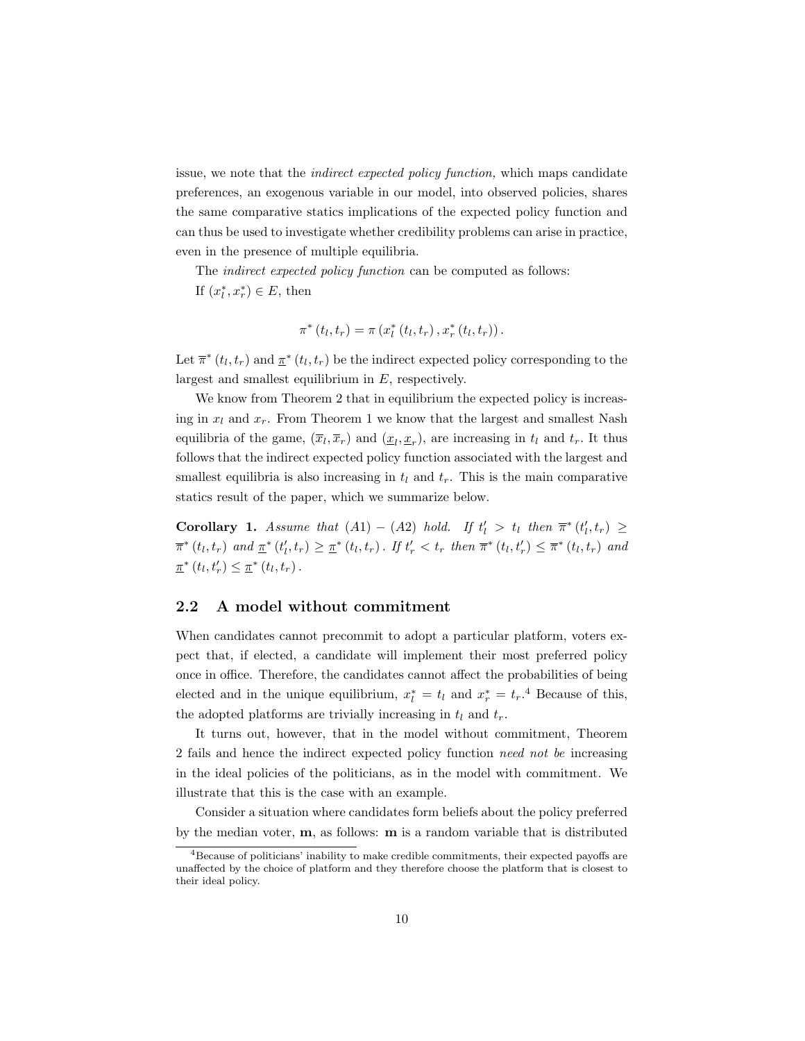issue, we note that the indirect expected policy function, which maps candidate preferences, an exogenous variable in our model, into observed policies, shares the same comparative statics implications of the expected policy function and can thus be used to investigate whether credibility problems can arise in practice, even in the presence of multiple equilibria.

The *indirect expected policy function* can be computed as follows: If  $(x_l^*, x_r^*) \in E$ , then

$$
\pi^*\left(t_l, t_r\right) = \pi\left(x_l^*\left(t_l, t_r\right), x_r^*\left(t_l, t_r\right)\right).
$$

Let  $\bar{\pi}^*(t_l, t_r)$  and  $\underline{\pi}^*(t_l, t_r)$  be the indirect expected policy corresponding to the largest and smallest equilibrium in E, respectively.

We know from Theorem 2 that in equilibrium the expected policy is increasing in  $x_l$  and  $x_r$ . From Theorem 1 we know that the largest and smallest Nash equilibria of the game,  $(\overline{x}_l, \overline{x}_r)$  and  $(\underline{x}_l, \underline{x}_r)$ , are increasing in  $t_l$  and  $t_r$ . It thus follows that the indirect expected policy function associated with the largest and smallest equilibria is also increasing in  $t_l$  and  $t_r$ . This is the main comparative statics result of the paper, which we summarize below.

Corollary 1. Assume that  $(A1) - (A2)$  hold. If  $t'_l > t_l$  then  $\overline{\pi}^*(t'_l, t_r) \geq$  $\bar{\pi}^*(t_l, t_r)$  and  $\underline{\pi}^*(t'_l, t_r) \geq \underline{\pi}^*(t_l, t_r)$ . If  $t'_r < t_r$  then  $\bar{\pi}^*(t_l, t'_r) \leq \bar{\pi}^*(t_l, t_r)$  and  $\underline{\pi}^*(t_l, t'_r) \leq \underline{\pi}^*(t_l, t_r).$ 

# 2.2 A model without commitment

When candidates cannot precommit to adopt a particular platform, voters expect that, if elected, a candidate will implement their most preferred policy once in office. Therefore, the candidates cannot affect the probabilities of being elected and in the unique equilibrium,  $x_l^* = t_l$  and  $x_r^* = t_r$ .<sup>4</sup> Because of this, the adopted platforms are trivially increasing in  $t_l$  and  $t_r$ .

It turns out, however, that in the model without commitment, Theorem 2 fails and hence the indirect expected policy function need not be increasing in the ideal policies of the politicians, as in the model with commitment. We illustrate that this is the case with an example.

Consider a situation where candidates form beliefs about the policy preferred by the median voter, m, as follows: m is a random variable that is distributed

 $4B$ ecause of politicians' inability to make credible commitments, their expected payoffs are unaffected by the choice of platform and they therefore choose the platform that is closest to their ideal policy.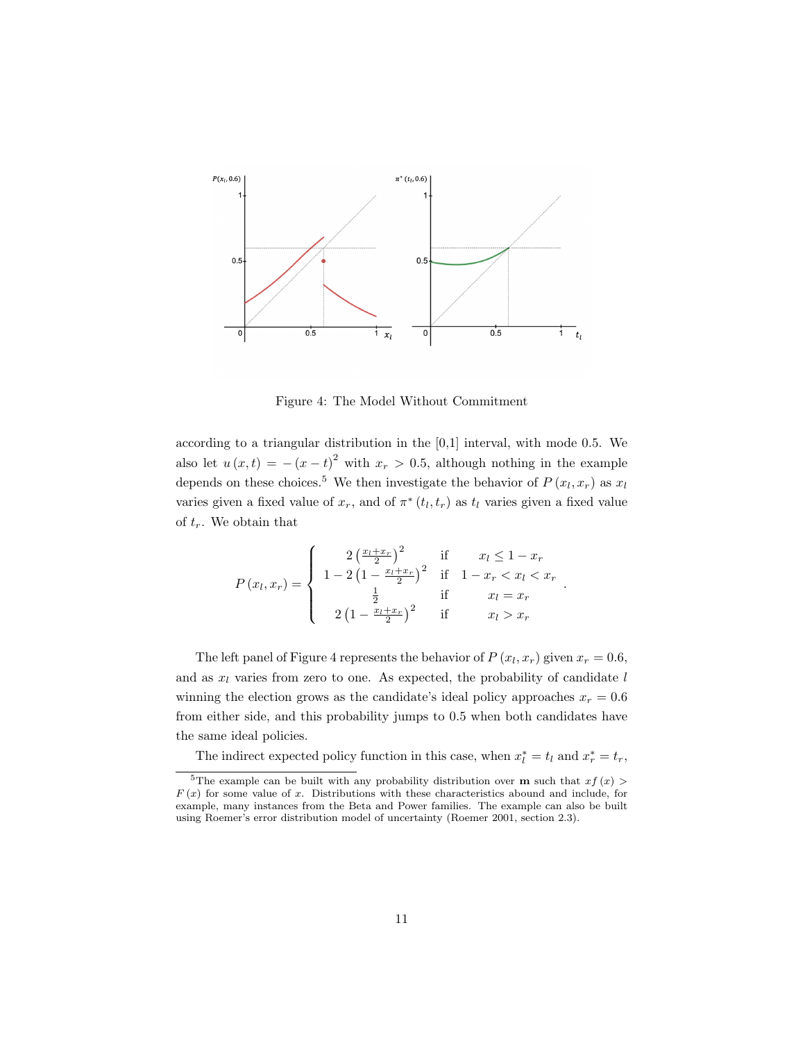

Figure 4: The Model Without Commitment

according to a triangular distribution in the [0,1] interval, with mode 0.5. We also let  $u(x,t) = -(x-t)^2$  with  $x_r > 0.5$ , although nothing in the example depends on these choices.<sup>5</sup> We then investigate the behavior of  $P(x_l, x_r)$  as  $x_l$ varies given a fixed value of  $x_r$ , and of  $\pi^*(t_l, t_r)$  as  $t_l$  varies given a fixed value of  $t_r$ . We obtain that

$$
P(x_l, x_r) = \begin{cases} 2\left(\frac{x_l + x_r}{2}\right)^2 & \text{if } x_l \le 1 - x_r\\ 1 - 2\left(1 - \frac{x_l + x_r}{2}\right)^2 & \text{if } 1 - x_r < x_l < x_r\\ \frac{1}{2} & \text{if } x_l = x_r\\ 2\left(1 - \frac{x_l + x_r}{2}\right)^2 & \text{if } x_l > x_r \end{cases}
$$

.

The left panel of Figure 4 represents the behavior of  $P(x_l, x_r)$  given  $x_r = 0.6$ , and as  $x_l$  varies from zero to one. As expected, the probability of candidate  $l$ winning the election grows as the candidate's ideal policy approaches  $x_r = 0.6$ from either side, and this probability jumps to 0.5 when both candidates have the same ideal policies.

The indirect expected policy function in this case, when  $x_l^* = t_l$  and  $x_r^* = t_r$ ,

<sup>&</sup>lt;sup>5</sup>The example can be built with any probability distribution over **m** such that  $xf(x)$  $F(x)$  for some value of x. Distributions with these characteristics abound and include, for example, many instances from the Beta and Power families. The example can also be built using Roemer's error distribution model of uncertainty (Roemer 2001, section 2.3).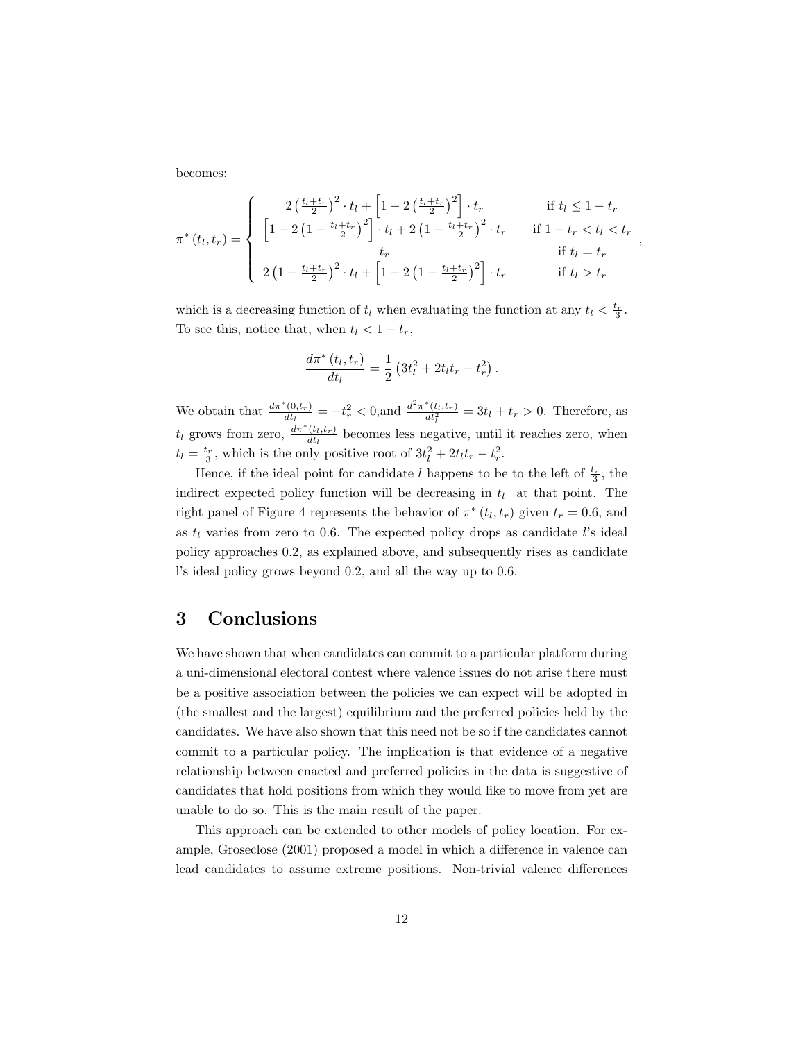becomes:

$$
\pi^*(t_l, t_r) = \begin{cases}\n2\left(\frac{t_l + t_r}{2}\right)^2 \cdot t_l + \left[1 - 2\left(\frac{t_l + t_r}{2}\right)^2\right] \cdot t_r & \text{if } t_l \le 1 - t_r \\
\left[1 - 2\left(1 - \frac{t_l + t_r}{2}\right)^2\right] \cdot t_l + 2\left(1 - \frac{t_l + t_r}{2}\right)^2 \cdot t_r & \text{if } 1 - t_r < t_l < t_r \\
t_r & \text{if } t_l = t_r \\
2\left(1 - \frac{t_l + t_r}{2}\right)^2 \cdot t_l + \left[1 - 2\left(1 - \frac{t_l + t_r}{2}\right)^2\right] \cdot t_r & \text{if } t_l > t_r\n\end{cases}
$$

,

which is a decreasing function of  $t_l$  when evaluating the function at any  $t_l < \frac{t_r}{3}$ . To see this, notice that, when  $t_l < 1-t_r$ ,

$$
\frac{d\pi^*(t_l, t_r)}{dt_l} = \frac{1}{2} \left( 3t_l^2 + 2t_l t_r - t_r^2 \right).
$$

We obtain that  $\frac{d\pi^*(0,t_r)}{dt_r}$  $\frac{d^2(t, t_r)}{dt_l} = -t_r^2 < 0,$  and  $\frac{d^2 \pi^*(t_l, t_r)}{dt_l^2} = 3t_l + t_r > 0$ . Therefore, as  $t_l$  grows from zero,  $\frac{d\pi^*(t_l,t_r)}{dt_l}$  $\frac{(t_l, t_r)}{dt_l}$  becomes less negative, until it reaches zero, when  $t_l = \frac{t_r}{3}$ , which is the only positive root of  $3t_l^2 + 2t_l t_r - t_r^2$ .

Hence, if the ideal point for candidate l happens to be to the left of  $\frac{t_r}{3}$ , the indirect expected policy function will be decreasing in  $t_l$  at that point. The right panel of Figure 4 represents the behavior of  $\pi^*(t_l, t_r)$  given  $t_r = 0.6$ , and as  $t_l$  varies from zero to 0.6. The expected policy drops as candidate l's ideal policy approaches 0.2, as explained above, and subsequently rises as candidate l's ideal policy grows beyond 0.2, and all the way up to 0.6.

# 3 Conclusions

We have shown that when candidates can commit to a particular platform during a uni-dimensional electoral contest where valence issues do not arise there must be a positive association between the policies we can expect will be adopted in (the smallest and the largest) equilibrium and the preferred policies held by the candidates. We have also shown that this need not be so if the candidates cannot commit to a particular policy. The implication is that evidence of a negative relationship between enacted and preferred policies in the data is suggestive of candidates that hold positions from which they would like to move from yet are unable to do so. This is the main result of the paper.

This approach can be extended to other models of policy location. For example, Groseclose (2001) proposed a model in which a difference in valence can lead candidates to assume extreme positions. Non-trivial valence differences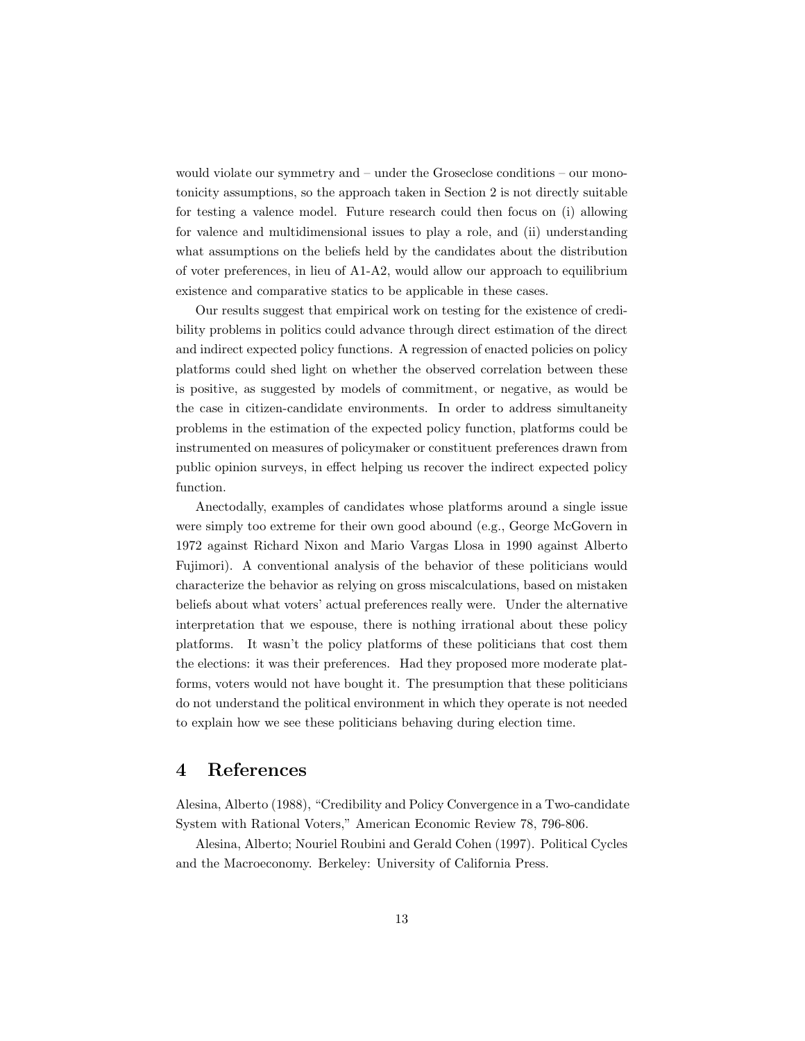would violate our symmetry and – under the Groseclose conditions – our monotonicity assumptions, so the approach taken in Section 2 is not directly suitable for testing a valence model. Future research could then focus on (i) allowing for valence and multidimensional issues to play a role, and (ii) understanding what assumptions on the beliefs held by the candidates about the distribution of voter preferences, in lieu of A1-A2, would allow our approach to equilibrium existence and comparative statics to be applicable in these cases.

Our results suggest that empirical work on testing for the existence of credibility problems in politics could advance through direct estimation of the direct and indirect expected policy functions. A regression of enacted policies on policy platforms could shed light on whether the observed correlation between these is positive, as suggested by models of commitment, or negative, as would be the case in citizen-candidate environments. In order to address simultaneity problems in the estimation of the expected policy function, platforms could be instrumented on measures of policymaker or constituent preferences drawn from public opinion surveys, in effect helping us recover the indirect expected policy function.

Anectodally, examples of candidates whose platforms around a single issue were simply too extreme for their own good abound (e.g., George McGovern in 1972 against Richard Nixon and Mario Vargas Llosa in 1990 against Alberto Fujimori). A conventional analysis of the behavior of these politicians would characterize the behavior as relying on gross miscalculations, based on mistaken beliefs about what voters' actual preferences really were. Under the alternative interpretation that we espouse, there is nothing irrational about these policy platforms. It wasn't the policy platforms of these politicians that cost them the elections: it was their preferences. Had they proposed more moderate platforms, voters would not have bought it. The presumption that these politicians do not understand the political environment in which they operate is not needed to explain how we see these politicians behaving during election time.

# 4 References

Alesina, Alberto (1988), "Credibility and Policy Convergence in a Two-candidate System with Rational Voters," American Economic Review 78, 796-806.

Alesina, Alberto; Nouriel Roubini and Gerald Cohen (1997). Political Cycles and the Macroeconomy. Berkeley: University of California Press.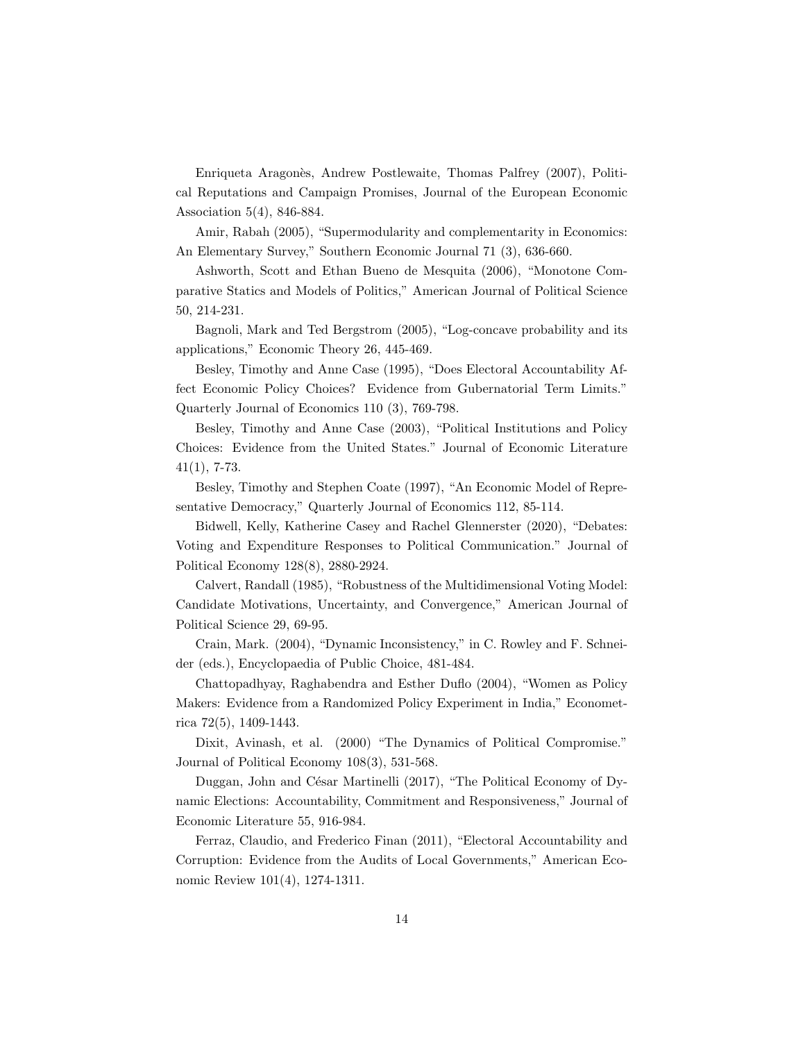Enriqueta Aragonès, Andrew Postlewaite, Thomas Palfrey (2007), Political Reputations and Campaign Promises, Journal of the European Economic Association 5(4), 846-884.

Amir, Rabah (2005), "Supermodularity and complementarity in Economics: An Elementary Survey," Southern Economic Journal 71 (3), 636-660.

Ashworth, Scott and Ethan Bueno de Mesquita (2006), "Monotone Comparative Statics and Models of Politics," American Journal of Political Science 50, 214-231.

Bagnoli, Mark and Ted Bergstrom (2005), "Log-concave probability and its applications," Economic Theory 26, 445-469.

Besley, Timothy and Anne Case (1995), "Does Electoral Accountability Affect Economic Policy Choices? Evidence from Gubernatorial Term Limits." Quarterly Journal of Economics 110 (3), 769-798.

Besley, Timothy and Anne Case (2003), "Political Institutions and Policy Choices: Evidence from the United States." Journal of Economic Literature  $41(1), 7-73.$ 

Besley, Timothy and Stephen Coate (1997), "An Economic Model of Representative Democracy," Quarterly Journal of Economics 112, 85-114.

Bidwell, Kelly, Katherine Casey and Rachel Glennerster (2020), "Debates: Voting and Expenditure Responses to Political Communication." Journal of Political Economy 128(8), 2880-2924.

Calvert, Randall (1985), "Robustness of the Multidimensional Voting Model: Candidate Motivations, Uncertainty, and Convergence," American Journal of Political Science 29, 69-95.

Crain, Mark. (2004), "Dynamic Inconsistency," in C. Rowley and F. Schneider (eds.), Encyclopaedia of Public Choice, 481-484.

Chattopadhyay, Raghabendra and Esther Duflo (2004), "Women as Policy Makers: Evidence from a Randomized Policy Experiment in India," Econometrica 72(5), 1409-1443.

Dixit, Avinash, et al. (2000) "The Dynamics of Political Compromise." Journal of Political Economy 108(3), 531-568.

Duggan, John and César Martinelli (2017), "The Political Economy of Dynamic Elections: Accountability, Commitment and Responsiveness," Journal of Economic Literature 55, 916-984.

Ferraz, Claudio, and Frederico Finan (2011), "Electoral Accountability and Corruption: Evidence from the Audits of Local Governments," American Economic Review 101(4), 1274-1311.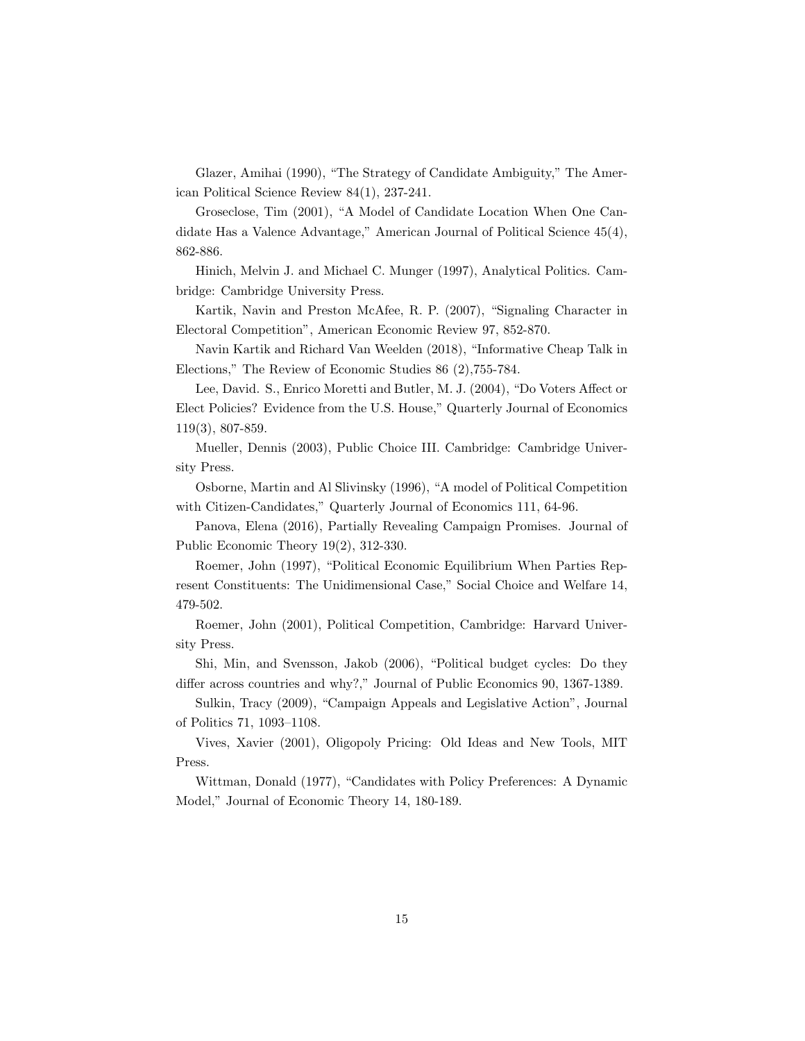Glazer, Amihai (1990), "The Strategy of Candidate Ambiguity," The American Political Science Review 84(1), 237-241.

Groseclose, Tim (2001), "A Model of Candidate Location When One Candidate Has a Valence Advantage," American Journal of Political Science 45(4), 862-886.

Hinich, Melvin J. and Michael C. Munger (1997), Analytical Politics. Cambridge: Cambridge University Press.

Kartik, Navin and Preston McAfee, R. P. (2007), "Signaling Character in Electoral Competition", American Economic Review 97, 852-870.

Navin Kartik and Richard Van Weelden (2018), "Informative Cheap Talk in Elections," The Review of Economic Studies 86 (2),755-784.

Lee, David. S., Enrico Moretti and Butler, M. J. (2004), "Do Voters Affect or Elect Policies? Evidence from the U.S. House," Quarterly Journal of Economics 119(3), 807-859.

Mueller, Dennis (2003), Public Choice III. Cambridge: Cambridge University Press.

Osborne, Martin and Al Slivinsky (1996), "A model of Political Competition with Citizen-Candidates," Quarterly Journal of Economics 111, 64-96.

Panova, Elena (2016), Partially Revealing Campaign Promises. Journal of Public Economic Theory 19(2), 312-330.

Roemer, John (1997), "Political Economic Equilibrium When Parties Represent Constituents: The Unidimensional Case," Social Choice and Welfare 14, 479-502.

Roemer, John (2001), Political Competition, Cambridge: Harvard University Press.

Shi, Min, and Svensson, Jakob (2006), "Political budget cycles: Do they differ across countries and why?," Journal of Public Economics 90, 1367-1389.

Sulkin, Tracy (2009), "Campaign Appeals and Legislative Action", Journal of Politics 71, 1093–1108.

Vives, Xavier (2001), Oligopoly Pricing: Old Ideas and New Tools, MIT Press.

Wittman, Donald (1977), "Candidates with Policy Preferences: A Dynamic Model," Journal of Economic Theory 14, 180-189.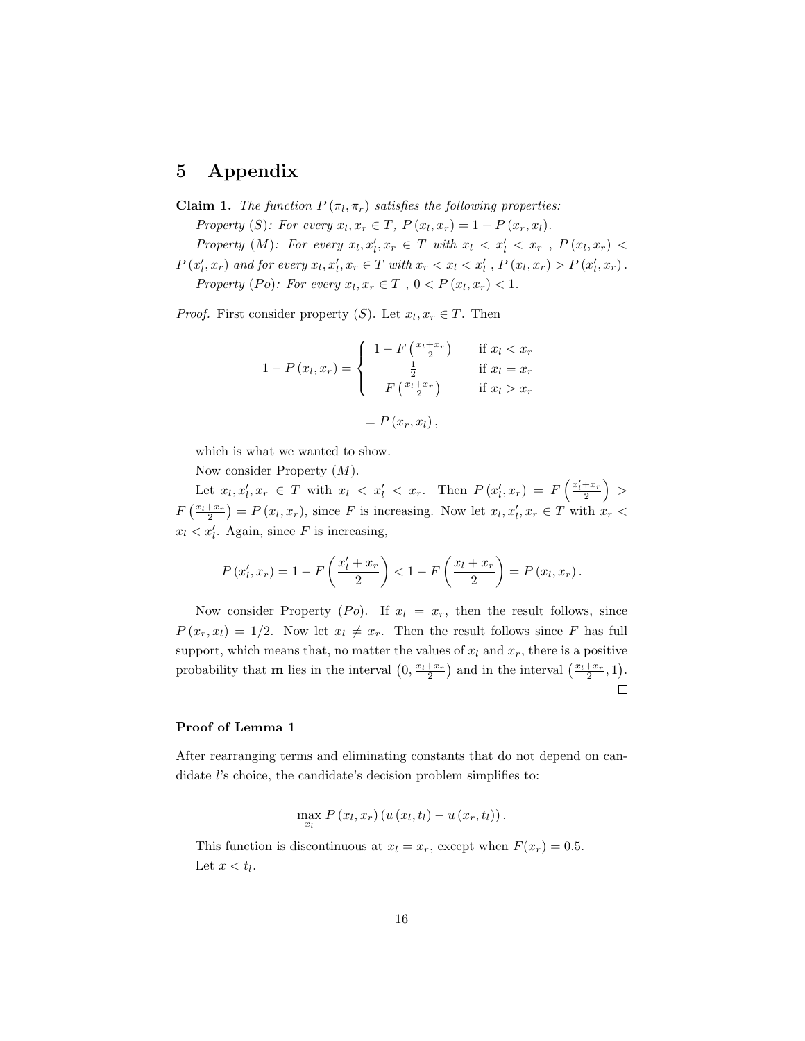# 5 Appendix

**Claim 1.** The function  $P(\pi_l, \pi_r)$  satisfies the following properties:

Property (S): For every  $x_l, x_r \in T$ ,  $P(x_l, x_r) = 1 - P(x_r, x_l)$ .

Property (M): For every  $x_l, x_l', x_r \in T$  with  $x_l < x_l' < x_r$ ,  $P(x_l, x_r) <$ 

 $P(x'_{l}, x_{r})$  and for every  $x_{l}, x'_{l}, x_{r} \in T$  with  $x_{r} < x_{l} < x'_{l}$ ,  $P(x_{l}, x_{r}) > P(x'_{l}, x_{r})$ .

Property (Po): For every  $x_l, x_r \in T$ ,  $0 < P(x_l, x_r) < 1$ .

*Proof.* First consider property  $(S)$ . Let  $x_l, x_r \in T$ . Then

$$
1 - P(x_l, x_r) = \begin{cases} 1 - F\left(\frac{x_l + x_r}{2}\right) & \text{if } x_l < x_r \\ \frac{1}{2} & \text{if } x_l = x_r \\ F\left(\frac{x_l + x_r}{2}\right) & \text{if } x_l > x_r \end{cases}
$$

$$
= P(x_r, x_l),
$$

which is what we wanted to show.

Now consider Property  $(M)$ .

Let  $x_l, x'_l, x_r \in T$  with  $x_l \lt x'_l \lt x_r$ . Then  $P(x'_l, x_r) = F\left(\frac{x'_l + x_r}{2}\right) >$  $F\left(\frac{x_l+x_r}{2}\right) = P\left(x_l,x_r\right)$ , since F is increasing. Now let  $x_l, x_l', x_r \in T$  with  $x_r <$  $x_l < x'_l$ . Again, since F is increasing,

$$
P(x'_l, x_r) = 1 - F\left(\frac{x'_l + x_r}{2}\right) < 1 - F\left(\frac{x_l + x_r}{2}\right) = P(x_l, x_r).
$$

Now consider Property (Po). If  $x_l = x_r$ , then the result follows, since  $P(x_r, x_l) = 1/2$ . Now let  $x_l \neq x_r$ . Then the result follows since F has full support, which means that, no matter the values of  $x_l$  and  $x_r$ , there is a positive probability that **m** lies in the interval  $(0, \frac{x_l+x_r}{2})$  and in the interval  $(\frac{x_l+x_r}{2}, 1)$ .  $\Box$ 

### Proof of Lemma 1

After rearranging terms and eliminating constants that do not depend on candidate l's choice, the candidate's decision problem simplifies to:

$$
\max_{x_l} P(x_l,x_r) (u(x_l,t_l) - u(x_r,t_l)).
$$

This function is discontinuous at  $x_l = x_r$ , except when  $F(x_r) = 0.5$ . Let  $x < t_l$ .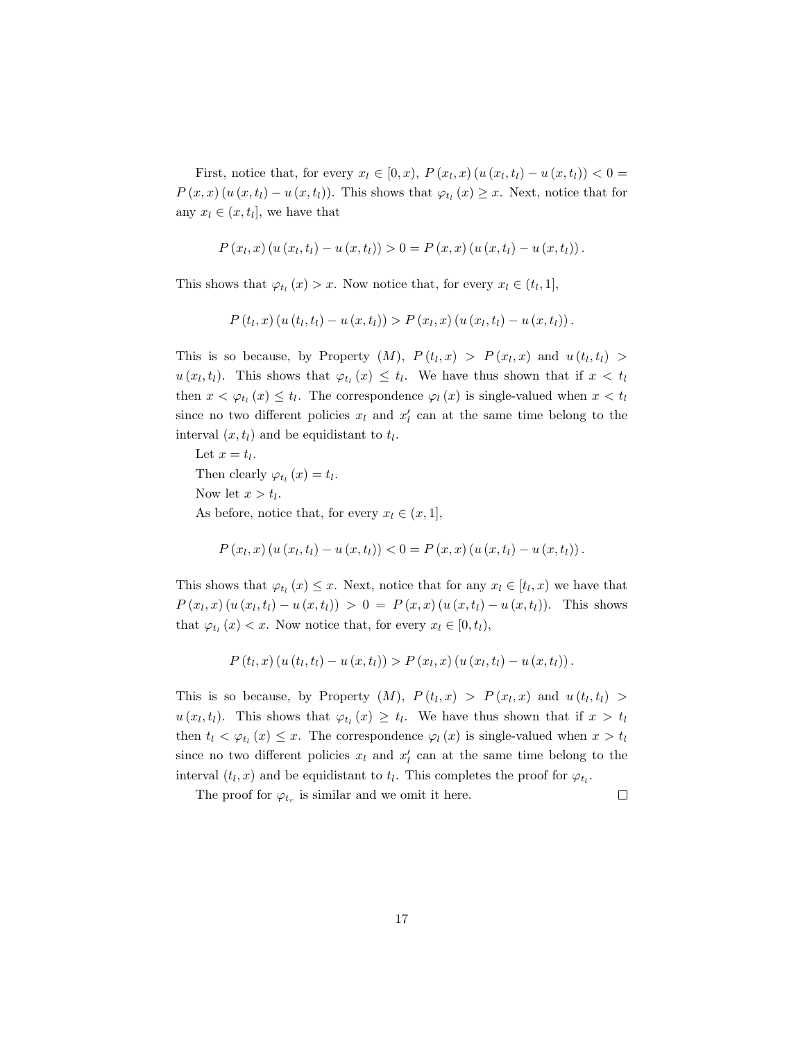First, notice that, for every  $x_l \in [0, x)$ ,  $P(x_l, x) (u(x_l, t_l) - u(x, t_l)) < 0$  $P(x,x)$   $(u(x,t_l) - u(x,t_l))$ . This shows that  $\varphi_{t_l}(x) \geq x$ . Next, notice that for any  $x_l \in (x, t_l]$ , we have that

$$
P(x_l, x) (u (x_l, t_l) - u (x, t_l)) > 0 = P(x, x) (u (x, t_l) - u (x, t_l)).
$$

This shows that  $\varphi_{t_l}(x) > x$ . Now notice that, for every  $x_l \in (t_l, 1],$ 

$$
P(t_l, x) (u(t_l, t_l) - u(x, t_l)) > P(x_l, x) (u(x_l, t_l) - u(x, t_l)).
$$

This is so because, by Property  $(M)$ ,  $P(t_l, x) > P(x_l, x)$  and  $u(t_l, t_l) >$  $u(x_l, t_l)$ . This shows that  $\varphi_{t_l}(x) \leq t_l$ . We have thus shown that if  $x < t_l$ then  $x < \varphi_{t_l}(x) \leq t_l$ . The correspondence  $\varphi_l(x)$  is single-valued when  $x < t_l$ since no two different policies  $x_l$  and  $x'_l$  can at the same time belong to the interval  $(x, t_l)$  and be equidistant to  $t_l$ .

Let  $x = t_l$ . Then clearly  $\varphi_{t_l}(x) = t_l$ . Now let  $x > t_l$ . As before, notice that, for every  $x_l \in (x, 1]$ ,

$$
P(x_l, x) (u (x_l, t_l) - u (x, t_l)) < 0 = P(x, x) (u (x, t_l) - u (x, t_l)).
$$

This shows that  $\varphi_{t_l}(x) \leq x$ . Next, notice that for any  $x_l \in [t_l, x)$  we have that  $P(x_l, x) (u(x_l, t_l) - u(x, t_l)) > 0 = P(x, x) (u(x, t_l) - u(x, t_l)).$  This shows that  $\varphi_{t_l}(x) < x$ . Now notice that, for every  $x_l \in [0, t_l)$ ,

$$
P(t_l, x) (u(t_l, t_l) - u(x, t_l)) > P(x_l, x) (u(x_l, t_l) - u(x, t_l)).
$$

This is so because, by Property  $(M)$ ,  $P(t_l, x) > P(x_l, x)$  and  $u(t_l, t_l) >$  $u(x_l, t_l)$ . This shows that  $\varphi_{t_l}(x) \geq t_l$ . We have thus shown that if  $x > t_l$ then  $t_l < \varphi_{t_l}(x) \leq x$ . The correspondence  $\varphi_l(x)$  is single-valued when  $x > t_l$ since no two different policies  $x_l$  and  $x'_l$  can at the same time belong to the interval  $(t_l, x)$  and be equidistant to  $t_l$ . This completes the proof for  $\varphi_{t_l}$ .

The proof for  $\varphi_{t_r}$  is similar and we omit it here.

 $\Box$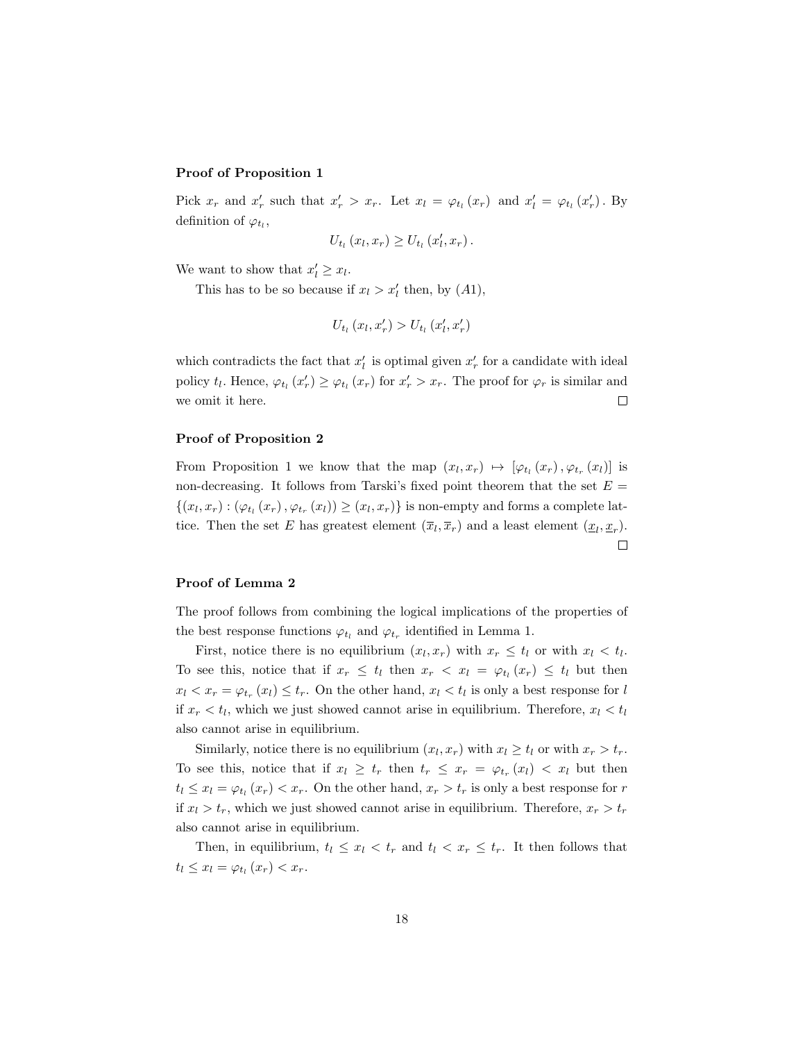### Proof of Proposition 1

Pick  $x_r$  and  $x'_r$  such that  $x'_r > x_r$ . Let  $x_l = \varphi_{t_l}(x_r)$  and  $x'_l = \varphi_{t_l}(x'_r)$ . By definition of  $\varphi_{t_l}$ ,

$$
U_{t_l}(x_l,x_r)\geq U_{t_l}(x'_l,x_r).
$$

We want to show that  $x'_l \geq x_l$ .

This has to be so because if  $x_l > x'_l$  then, by  $(A1)$ ,

$$
U_{t_l}(x_l, x_r') > U_{t_l}(x_l', x_r')
$$

which contradicts the fact that  $x'_{l}$  is optimal given  $x'_{r}$  for a candidate with ideal policy  $t_l$ . Hence,  $\varphi_{t_l}(x_r') \geq \varphi_{t_l}(x_r)$  for  $x_r' > x_r$ . The proof for  $\varphi_r$  is similar and we omit it here.  $\Box$ 

#### Proof of Proposition 2

From Proposition 1 we know that the map  $(x_l, x_r) \mapsto [\varphi_{t_l}(x_r), \varphi_{t_r}(x_l)]$  is non-decreasing. It follows from Tarski's fixed point theorem that the set  $E =$  $\{(x_l, x_r) : (\varphi_{t_l}(x_r), \varphi_{t_r}(x_l)) \geq (x_l, x_r)\}\$ is non-empty and forms a complete lattice. Then the set E has greatest element  $(\overline{x}_l, \overline{x}_r)$  and a least element  $(\underline{x}_l, \underline{x}_r)$ .  $\Box$ 

### Proof of Lemma 2

The proof follows from combining the logical implications of the properties of the best response functions  $\varphi_{t_l}$  and  $\varphi_{t_r}$  identified in Lemma 1.

First, notice there is no equilibrium  $(x_l, x_r)$  with  $x_r \leq t_l$  or with  $x_l \leq t_l$ . To see this, notice that if  $x_r \leq t_l$  then  $x_r \lt x_l = \varphi_{t_l}(x_r) \leq t_l$  but then  $x_l < x_r = \varphi_{t_r}(x_l) \leq t_r$ . On the other hand,  $x_l < t_l$  is only a best response for l if  $x_r < t_l$ , which we just showed cannot arise in equilibrium. Therefore,  $x_l < t_l$ also cannot arise in equilibrium.

Similarly, notice there is no equilibrium  $(x_l, x_r)$  with  $x_l \ge t_l$  or with  $x_r > t_r$ . To see this, notice that if  $x_l \geq t_r$  then  $t_r \leq x_r = \varphi_{t_r}(x_l) < x_l$  but then  $t_l \leq x_l = \varphi_{t_l}(x_r) < x_r$ . On the other hand,  $x_r > t_r$  is only a best response for r if  $x_l > t_r$ , which we just showed cannot arise in equilibrium. Therefore,  $x_r > t_r$ also cannot arise in equilibrium.

Then, in equilibrium,  $t_l \leq x_l \leq t_r$  and  $t_l \leq x_r \leq t_r$ . It then follows that  $t_l \leq x_l = \varphi_{t_l}(x_r) < x_r.$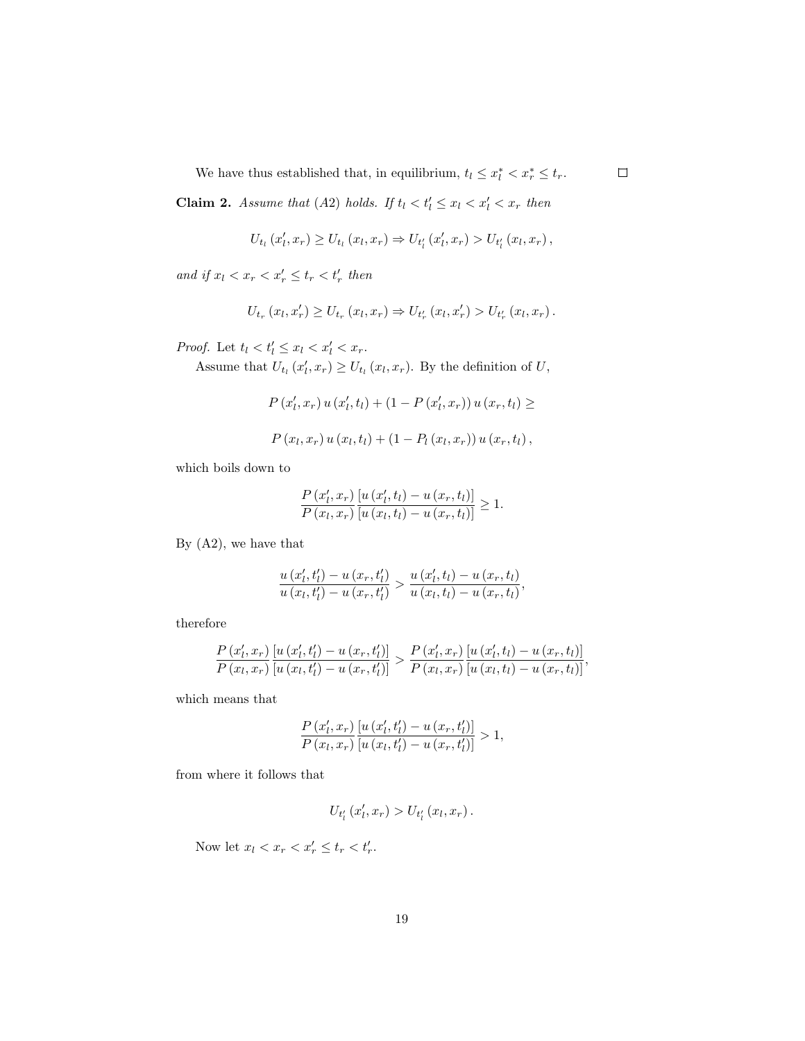We have thus established that, in equilibrium,  $t_l \leq x_l^* < x_r^* \leq t_r$ .

**Claim 2.** Assume that (A2) holds. If  $t_l < t'_l \leq x_l < x'_l < x_r$  then

$$
U_{t_l}(x'_l, x_r) \geq U_{t_l}(x_l, x_r) \Rightarrow U_{t'_l}(x'_l, x_r) > U_{t'_l}(x_l, x_r),
$$

and if  $x_l < x_r < x'_r \leq t_r < t'_r$  then

$$
U_{t_r}(x_l, x_r') \geq U_{t_r}(x_l, x_r) \Rightarrow U_{t_r'}(x_l, x_r') > U_{t_r'}(x_l, x_r).
$$

*Proof.* Let  $t_l < t'_l \leq x_l < x'_l < x_r$ .

Assume that  $U_{t_l}(x'_l, x_r) \ge U_{t_l}(x_l, x_r)$ . By the definition of U,

$$
P(x'_{l}, x_{r}) u(x'_{l}, t_{l}) + (1 - P(x'_{l}, x_{r})) u(x_{r}, t_{l}) \ge
$$
  

$$
P(x_{l}, x_{r}) u(x_{l}, t_{l}) + (1 - P_{l}(x_{l}, x_{r})) u(x_{r}, t_{l}),
$$

which boils down to

$$
\frac{P(x'_l, x_r)\left[u(x'_l, t_l) - u(x_r, t_l)\right]}{P(x_l, x_r)\left[u(x_l, t_l) - u(x_r, t_l)\right]} \ge 1.
$$

By (A2), we have that

$$
\frac{u(x'_l, t'_l) - u(x_r, t'_l)}{u(x_l, t'_l) - u(x_r, t'_l)} > \frac{u(x'_l, t_l) - u(x_r, t_l)}{u(x_l, t_l) - u(x_r, t_l)},
$$

therefore

$$
\frac{P(x'_l, x_r)}{P(x_l, x_r)} \frac{\left[u(x'_l, t'_l) - u(x_r, t'_l)\right]}{\left[u(x_l, t'_l) - u(x_r, t'_l)\right]} > \frac{P(x'_l, x_r)}{P(x_l, x_r)} \frac{\left[u(x'_l, t_l) - u(x_r, t_l)\right]}{\left[u(x_l, t_l) - u(x_r, t_l)\right]},
$$

which means that

$$
\frac{P\left(x'_l,x_r\right)\left[u\left(x'_l,t'_l\right)-u\left(x_r,t'_l\right)\right]}{P\left(x_l,x_r\right)\left[u\left(x_l,t'_l\right)-u\left(x_r,t'_l\right)\right]}>1,
$$

from where it follows that

$$
U_{t_{l}'}(x_{l}', x_{r}) > U_{t_{l}'}(x_{l}, x_{r}).
$$

Now let  $x_l < x_r < x'_r \leq t_r < t'_r$ .

 $\Box$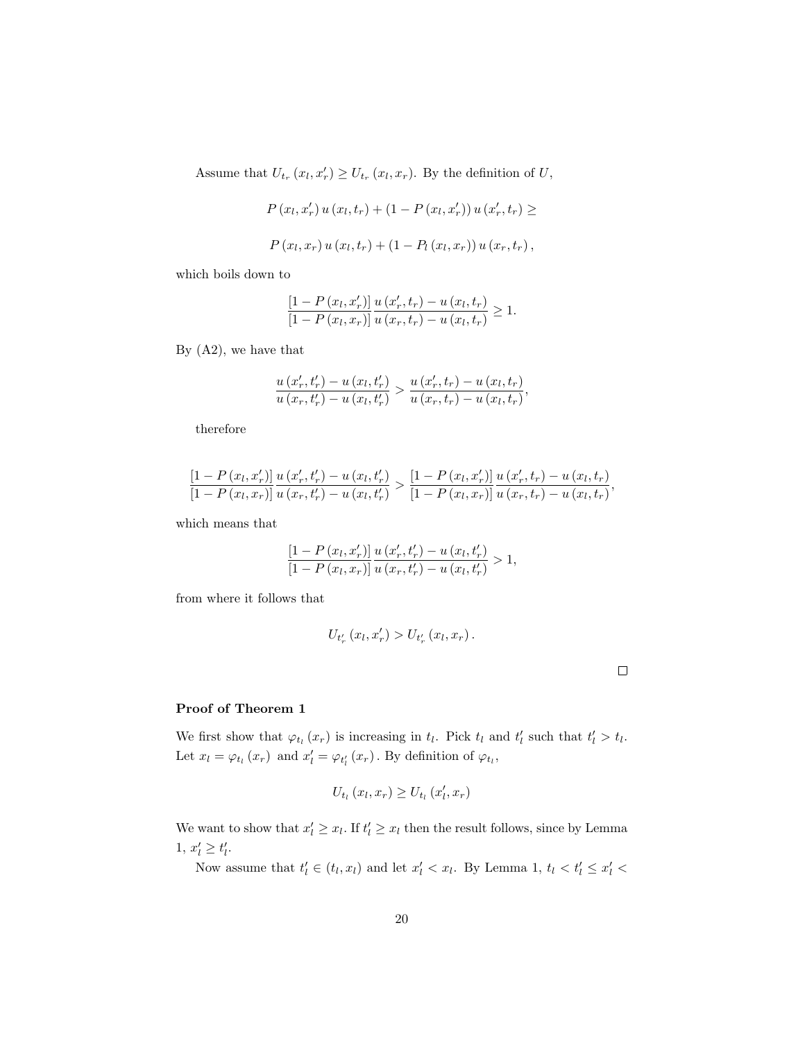Assume that  $U_{t_r}(x_l, x_r') \ge U_{t_r}(x_l, x_r)$ . By the definition of U,

$$
P(x_l, x'_r) u(x_l, t_r) + (1 - P(x_l, x'_r)) u(x'_r, t_r) \ge
$$
  

$$
P(x_l, x_r) u(x_l, t_r) + (1 - P_l(x_l, x_r)) u(x_r, t_r),
$$

which boils down to

$$
\frac{\left[1-P\left(x_{l},x_{r}'\right)\right]}{\left[1-P\left(x_{l},x_{r}\right)\right]} \frac{u\left(x_{r}',t_{r}\right)-u\left(x_{l},t_{r}\right)}{u\left(x_{r},t_{r}\right)-u\left(x_{l},t_{r}\right)} \geq 1.
$$

By (A2), we have that

$$
\frac{u(x'_r, t'_r) - u(x_l, t'_r)}{u(x_r, t'_r) - u(x_l, t'_r)} > \frac{u(x'_r, t_r) - u(x_l, t_r)}{u(x_r, t_r) - u(x_l, t_r)},
$$

therefore

$$
\frac{\left[1-P\left(x_l,x_r'\right)\right]}{\left[1-P\left(x_l,x_r\right)\right]} \frac{u\left(x_r',t_r'\right)-u\left(x_l,t_r'\right)}{u\left(x_r,t_r'\right)-u\left(x_l,t_r'\right)} > \frac{\left[1-P\left(x_l,x_r'\right)\right]}{\left[1-P\left(x_l,x_r\right)\right]} \frac{u\left(x_r',t_r\right)-u\left(x_l,t_r\right)}{u\left(x_r,t_r\right)-u\left(x_l,t_r\right)},
$$

which means that

$$
\frac{\left[1-P\left(x_{l},x_{r}^{\prime}\right)\right]u\left(x_{r}^{\prime},t_{r}^{\prime}\right)-u\left(x_{l},t_{r}^{\prime}\right)}{\left[1-P\left(x_{l},x_{r}\right)\right]u\left(x_{r},t_{r}^{\prime}\right)-u\left(x_{l},t_{r}^{\prime}\right)} > 1,
$$

from where it follows that

$$
U_{t'_{r}}(x_{l}, x'_{r}) > U_{t'_{r}}(x_{l}, x_{r}).
$$

# Proof of Theorem 1

We first show that  $\varphi_{t_l}(x_r)$  is increasing in  $t_l$ . Pick  $t_l$  and  $t'_l$  such that  $t'_l > t_l$ . Let  $x_l = \varphi_{t_l}(x_r)$  and  $x'_l = \varphi_{t'_l}(x_r)$ . By definition of  $\varphi_{t_l}$ ,

$$
U_{t_l}(x_l, x_r) \ge U_{t_l}(x_l', x_r)
$$

We want to show that  $x'_l \ge x_l$ . If  $t'_l \ge x_l$  then the result follows, since by Lemma 1,  $x'_l \ge t'_l$ .

Now assume that  $t'_l \in (t_l, x_l)$  and let  $x'_l < x_l$ . By Lemma 1,  $t_l < t'_l \leq x'_l <$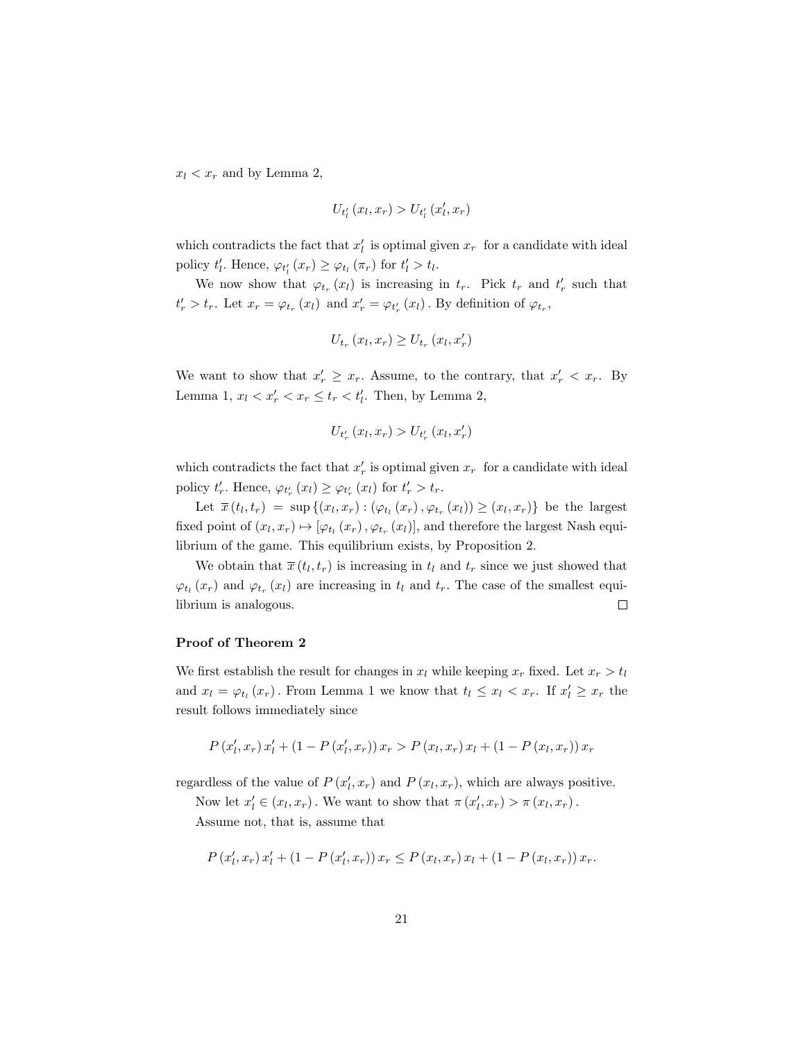$x_l < x_r$  and by Lemma 2,

$$
U_{t_{l}'}(x_{l},x_{r}) > U_{t_{l}'}(x_{l}',x_{r})
$$

which contradicts the fact that  $x'_{l}$  is optimal given  $x_{r}$  for a candidate with ideal policy  $t'_l$ . Hence,  $\varphi_{t'_l}(x_r) \geq \varphi_{t_l}(\pi_r)$  for  $t'_l > t_l$ .

We now show that  $\varphi_{t_r}(x_l)$  is increasing in  $t_r$ . Pick  $t_r$  and  $t'_r$  such that  $t_r' > t_r$ . Let  $x_r = \varphi_{t_r}(x_l)$  and  $x_r' = \varphi_{t_r'}(x_l)$ . By definition of  $\varphi_{t_r}$ ,

$$
U_{t_r}\left(x_l,x_r\right) \geq U_{t_r}\left(x_l,x_r'\right)
$$

We want to show that  $x'_r \geq x_r$ . Assume, to the contrary, that  $x'_r < x_r$ . By Lemma 1,  $x_l < x'_r < x_r \le t_r < t'_l$ . Then, by Lemma 2,

$$
U_{t_{r}^{\prime}}\left(x_{l},x_{r}\right)>U_{t_{r}^{\prime}}\left(x_{l},x_{r}^{\prime}\right)
$$

which contradicts the fact that  $x'_r$  is optimal given  $x_r$  for a candidate with ideal policy  $t'_r$ . Hence,  $\varphi_{t'_r}(x_l) \geq \varphi_{t'_r}(x_l)$  for  $t'_r > t_r$ .

Let  $\overline{x}(t_l, t_r) = \sup \{(x_l, x_r) : (\varphi_{t_l}(x_r), \varphi_{t_r}(x_l)) \geq (x_l, x_r) \}$  be the largest fixed point of  $(x_l, x_r) \mapsto [\varphi_{t_l}(x_r), \varphi_{t_r}(x_l)]$ , and therefore the largest Nash equilibrium of the game. This equilibrium exists, by Proposition 2.

We obtain that  $\bar{x}(t_l, t_r)$  is increasing in  $t_l$  and  $t_r$  since we just showed that  $\varphi_{t_l}(x_r)$  and  $\varphi_{t_r}(x_l)$  are increasing in  $t_l$  and  $t_r$ . The case of the smallest equilibrium is analogous.  $\Box$ 

# Proof of Theorem 2

We first establish the result for changes in  $x_l$  while keeping  $x_r$  fixed. Let  $x_r > t_l$ and  $x_l = \varphi_{t_l}(x_r)$ . From Lemma 1 we know that  $t_l \leq x_l < x_r$ . If  $x'_l \geq x_r$  the result follows immediately since

$$
P(x'_{l}, x_{r}) x'_{l} + (1 - P(x'_{l}, x_{r})) x_{r} > P(x_{l}, x_{r}) x_{l} + (1 - P(x_{l}, x_{r})) x_{r}
$$

regardless of the value of  $P(x_l, x_r)$  and  $P(x_l, x_r)$ , which are always positive.

Now let  $x'_l \in (x_l, x_r)$ . We want to show that  $\pi(x'_l, x_r) > \pi(x_l, x_r)$ .

Assume not, that is, assume that

$$
P(x'_{l}, x_{r}) x'_{l} + (1 - P(x'_{l}, x_{r})) x_{r} \le P(x_{l}, x_{r}) x_{l} + (1 - P(x_{l}, x_{r})) x_{r}.
$$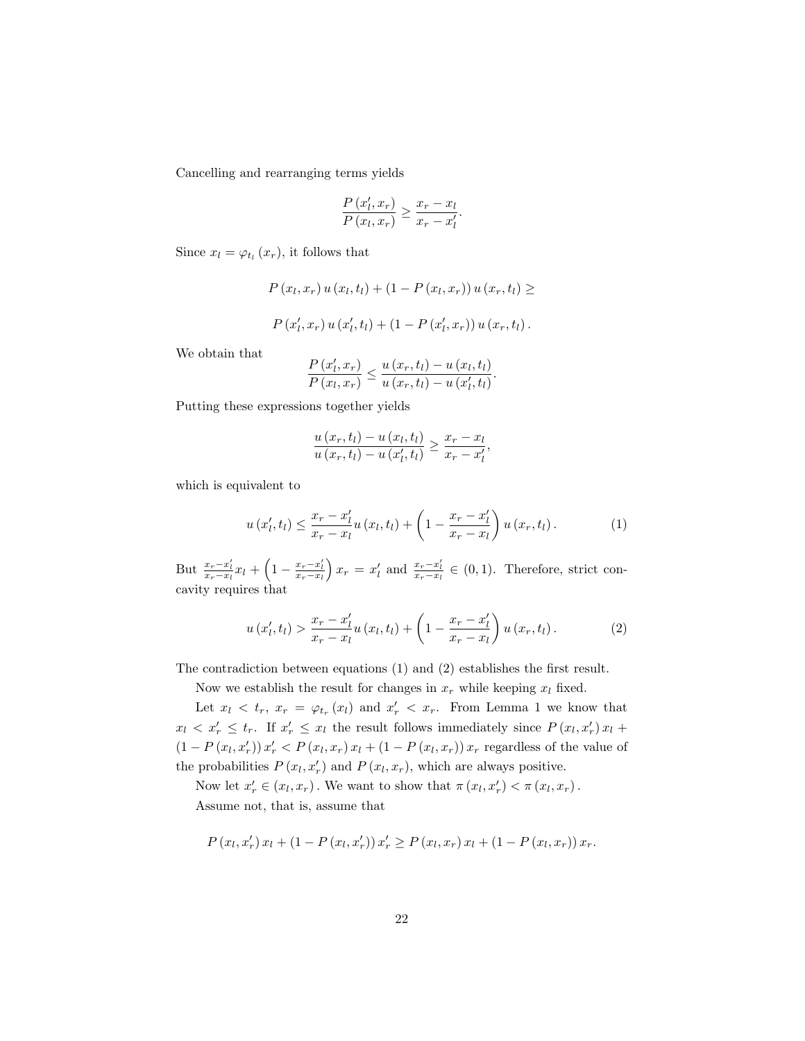Cancelling and rearranging terms yields

$$
\frac{P(x'_l, x_r)}{P(x_l, x_r)} \ge \frac{x_r - x_l}{x_r - x'_l}.
$$

Since  $x_l = \varphi_{t_l}(x_r)$ , it follows that

$$
P(x_l, x_r) u(x_l, t_l) + (1 - P(x_l, x_r)) u(x_r, t_l) \ge
$$
  

$$
P(x_l', x_r) u(x_l', t_l) + (1 - P(x_l', x_r)) u(x_r, t_l).
$$

We obtain that

$$
\frac{P(x'_l, x_r)}{P(x_l, x_r)} \leq \frac{u(x_r, t_l) - u(x_l, t_l)}{u(x_r, t_l) - u(x'_l, t_l)}.
$$

Putting these expressions together yields

$$
\frac{u(x_r,t_l)-u(x_l,t_l)}{u(x_r,t_l)-u(x'_l,t_l)} \geq \frac{x_r-x_l}{x_r-x'_l},
$$

which is equivalent to

$$
u(x'_l, t_l) \leq \frac{x_r - x'_l}{x_r - x_l} u(x_l, t_l) + \left(1 - \frac{x_r - x'_l}{x_r - x_l}\right) u(x_r, t_l).
$$
 (1)

But  $\frac{x_r-x'_l}{x_r-x_l}x_l + \left(1-\frac{x_r-x'_l}{x_r-x_l}\right)x_r = x'_l$  and  $\frac{x_r-x'_l}{x_r-x_l} \in (0,1)$ . Therefore, strict concavity requires that

$$
u(x'_{l},t_{l}) > \frac{x_{r} - x'_{l}}{x_{r} - x_{l}} u(x_{l},t_{l}) + \left(1 - \frac{x_{r} - x'_{l}}{x_{r} - x_{l}}\right) u(x_{r},t_{l}). \tag{2}
$$

The contradiction between equations (1) and (2) establishes the first result.

Now we establish the result for changes in  $x_r$  while keeping  $x_l$  fixed.

Let  $x_l \, \langle \, t_r, \, x_r \, = \, \varphi_{t_r}(x_l)$  and  $x'_r \, \langle \, x_r \rangle$ . From Lemma 1 we know that  $x_l \leq x'_r \leq t_r$ . If  $x'_r \leq x_l$  the result follows immediately since  $P(x_l, x'_r) x_l +$  $(1 - P(x_l, x'_r)) x'_r < P(x_l, x_r) x_l + (1 - P(x_l, x_r)) x_r$  regardless of the value of the probabilities  $P(x_l, x_r')$  and  $P(x_l, x_r)$ , which are always positive.

Now let  $x'_r \in (x_l, x_r)$ . We want to show that  $\pi(x_l, x'_r) < \pi(x_l, x_r)$ . Assume not, that is, assume that

$$
P(x_l, x'_r) x_l + (1 - P(x_l, x'_r)) x'_r \ge P(x_l, x_r) x_l + (1 - P(x_l, x_r)) x_r.
$$